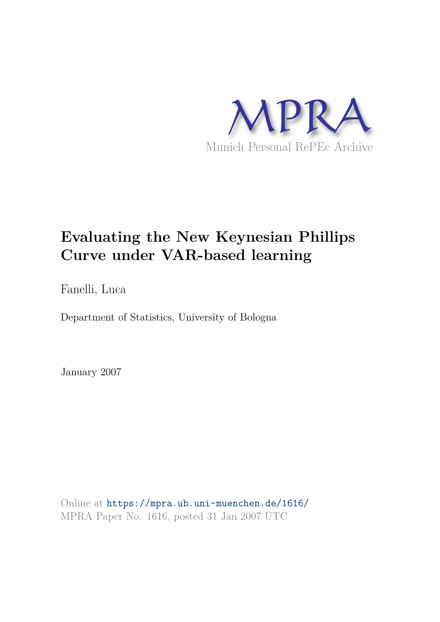

# **Evaluating the New Keynesian Phillips Curve under VAR-based learning**

Fanelli, Luca

Department of Statistics, University of Bologna

January 2007

Online at https://mpra.ub.uni-muenchen.de/1616/ MPRA Paper No. 1616, posted 31 Jan 2007 UTC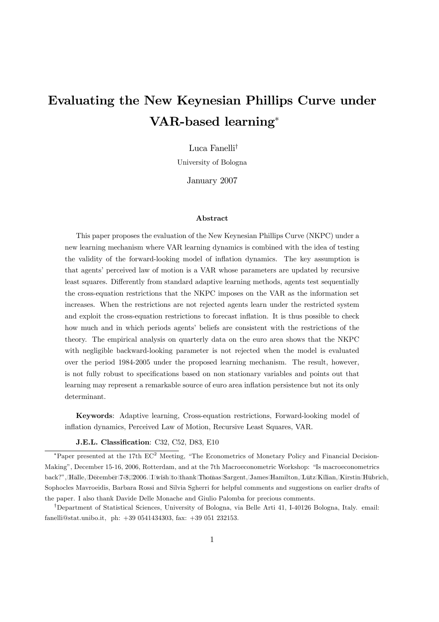# Evaluating the New Keynesian Phillips Curve under VAR-based learning<sup>∗</sup>

Luca Fanelli†

University of Bologna

January 2007

#### Abstract

This paper proposes the evaluation of the New Keynesian Phillips Curve (NKPC) under a new learning mechanism where VAR learning dynamics is combined with the idea of testing the validity of the forward-looking model of inflation dynamics. The key assumption is that agents' perceived law of motion is a VAR whose parameters are updated by recursive least squares. Differently from standard adaptive learning methods, agents test sequentially the cross-equation restrictions that the NKPC imposes on the VAR as the information set increases. When the restrictions are not rejected agents learn under the restricted system and exploit the cross-equation restrictions to forecast inflation. It is thus possible to check how much and in which periods agents' beliefs are consistent with the restrictions of the theory. The empirical analysis on quarterly data on the euro area shows that the NKPC with negligible backward-looking parameter is not rejected when the model is evaluated over the period 1984-2005 under the proposed learning mechanism. The result, however, is not fully robust to specifications based on non stationary variables and points out that learning may represent a remarkable source of euro area inflation persistence but not its only determinant.

Keywords: Adaptive learning, Cross-equation restrictions, Forward-looking model of inflation dynamics, Perceived Law of Motion, Recursive Least Squares, VAR.

J.E.L. Classification: C32, C52, D83, E10

†Department of Statistical Sciences, University of Bologna, via Belle Arti 41, I-40126 Bologna, Italy. email: fanelli@stat.unibo.it, ph: +39 0541434303, fax: +39 051 232153.

<sup>\*</sup>Paper presented at the 17th EC<sup>2</sup> Meeting, "The Econometrics of Monetary Policy and Financial Decision-Making", December 15-16, 2006, Rotterdam, and at the 7th Macroeconometric Workshop: "Is macroeconometrics back?", Halle, December 748,02006. I wish to thank Thomas Sargent, James Hamilton, Lutz Kilian, Kirstin Hubrich, Sophocles Mavroeidis, Barbara Rossi and Silvia Sgherri for helpful comments and suggestions on earlier drafts of the paper. I also thank Davide Delle Monache and Giulio Palomba for precious comments.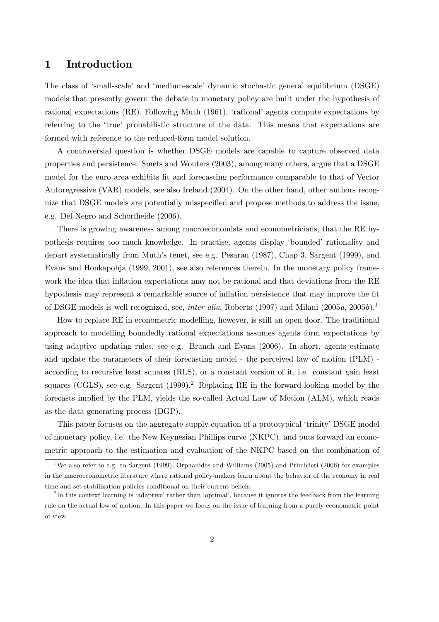## 1 Introduction

The class of 'small-scale' and 'medium-scale' dynamic stochastic general equilibrium (DSGE) models that presently govern the debate in monetary policy are built under the hypothesis of rational expectations (RE). Following Muth (1961), 'rational' agents compute expectations by referring to the 'true' probabilistic structure of the data. This means that expectations are formed with reference to the reduced-form model solution.

A controversial question is whether DSGE models are capable to capture observed data properties and persistence. Smets and Wouters (2003), among many others, argue that a DSGE model for the euro area exhibits fit and forecasting performance comparable to that of Vector Autoregressive (VAR) models, see also Ireland (2004). On the other hand, other authors recognize that DSGE models are potentially misspecified and propose methods to address the issue, e.g. Del Negro and Schorfheide (2006).

There is growing awareness among macroeconomists and econometricians, that the RE hypothesis requires too much knowledge. In practise, agents display 'bounded' rationality and depart systematically from Muth's tenet, see e.g. Pesaran (1987), Chap 3, Sargent (1999), and Evans and Honkapohja (1999, 2001), see also references therein. In the monetary policy framework the idea that inflation expectations may not be rational and that deviations from the RE hypothesis may represent a remarkable source of inflation persistence that may improve the fit of DSGE models is well recognized, see, *inter alia*, Roberts (1997) and Milani (2005a, 2005b).<sup>1</sup>

How to replace RE in econometric modelling, however, is still an open door. The traditional approach to modelling boundedly rational expectations assumes agents form expectations by using adaptive updating rules, see e.g. Branch and Evans (2006). In short, agents estimate and update the parameters of their forecasting model - the perceived law of motion (PLM) according to recursive least squares (RLS), or a constant version of it, i.e. constant gain least squares (CGLS), see e.g. Sargent  $(1999)^2$ . Replacing RE in the forward-looking model by the forecasts implied by the PLM, yields the so-called Actual Law of Motion (ALM), which reads as the data generating process (DGP).

This paper focuses on the aggregate supply equation of a prototypical 'trinity' DSGE model of monetary policy, i.e. the New Keynesian Phillips curve (NKPC), and puts forward an econometric approach to the estimation and evaluation of the NKPC based on the combination of

<sup>&</sup>lt;sup>1</sup>We also refer to e.g. to Sargent (1999), Orphanides and Williams (2005) and Primicieri (2006) for examples in the macroeconometric literature where rational policy-makers learn about the behavior of the economy in real time and set stabilization policies conditional on their current beliefs.

<sup>&</sup>lt;sup>2</sup>In this context learning is 'adaptive' rather than 'optimal', because it ignores the feedback from the learning rule on the actual low of motion. In this paper we focus on the issue of learning from a purely econometric point of view.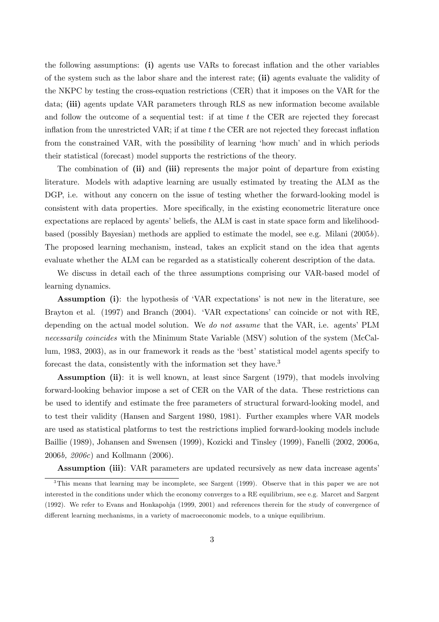the following assumptions: (i) agents use VARs to forecast inflation and the other variables of the system such as the labor share and the interest rate; (ii) agents evaluate the validity of the NKPC by testing the cross-equation restrictions (CER) that it imposes on the VAR for the data; (iii) agents update VAR parameters through RLS as new information become available and follow the outcome of a sequential test: if at time  $t$  the CER are rejected they forecast inflation from the unrestricted VAR; if at time t the CER are not rejected they forecast inflation from the constrained VAR, with the possibility of learning 'how much' and in which periods their statistical (forecast) model supports the restrictions of the theory.

The combination of (ii) and (iii) represents the major point of departure from existing literature. Models with adaptive learning are usually estimated by treating the ALM as the DGP, i.e. without any concern on the issue of testing whether the forward-looking model is consistent with data properties. More specifically, in the existing econometric literature once expectations are replaced by agents' beliefs, the ALM is cast in state space form and likelihoodbased (possibly Bayesian) methods are applied to estimate the model, see e.g. Milani (2005b). The proposed learning mechanism, instead, takes an explicit stand on the idea that agents evaluate whether the ALM can be regarded as a statistically coherent description of the data.

We discuss in detail each of the three assumptions comprising our VAR-based model of learning dynamics.

Assumption (i): the hypothesis of 'VAR expectations' is not new in the literature, see Brayton et al. (1997) and Branch (2004). 'VAR expectations' can coincide or not with RE, depending on the actual model solution. We do not assume that the VAR, i.e. agents' PLM necessarily coincides with the Minimum State Variable (MSV) solution of the system (McCallum, 1983, 2003), as in our framework it reads as the 'best' statistical model agents specify to forecast the data, consistently with the information set they have.<sup>3</sup>

Assumption (ii): it is well known, at least since Sargent (1979), that models involving forward-looking behavior impose a set of CER on the VAR of the data. These restrictions can be used to identify and estimate the free parameters of structural forward-looking model, and to test their validity (Hansen and Sargent 1980, 1981). Further examples where VAR models are used as statistical platforms to test the restrictions implied forward-looking models include Baillie (1989), Johansen and Swensen (1999), Kozicki and Tinsley (1999), Fanelli (2002, 2006a, 2006b, 2006c) and Kollmann (2006).

Assumption (iii): VAR parameters are updated recursively as new data increase agents'

<sup>3</sup>This means that learning may be incomplete, see Sargent (1999). Observe that in this paper we are not interested in the conditions under which the economy converges to a RE equilibrium, see e.g. Marcet and Sargent (1992). We refer to Evans and Honkapohja (1999, 2001) and references therein for the study of convergence of different learning mechanisms, in a variety of macroeconomic models, to a unique equilibrium.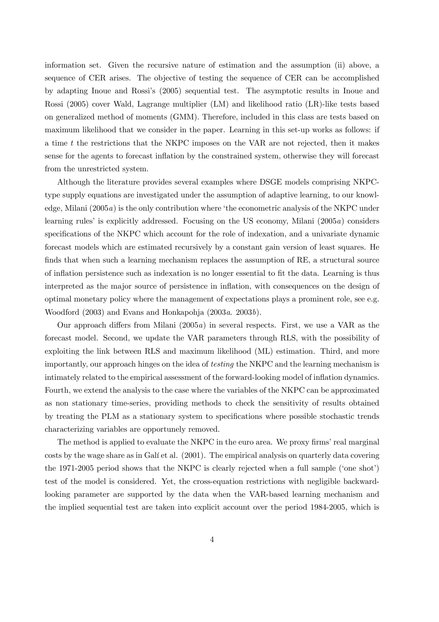information set. Given the recursive nature of estimation and the assumption (ii) above, a sequence of CER arises. The objective of testing the sequence of CER can be accomplished by adapting Inoue and Rossi's (2005) sequential test. The asymptotic results in Inoue and Rossi (2005) cover Wald, Lagrange multiplier (LM) and likelihood ratio (LR)-like tests based on generalized method of moments (GMM). Therefore, included in this class are tests based on maximum likelihood that we consider in the paper. Learning in this set-up works as follows: if a time t the restrictions that the NKPC imposes on the VAR are not rejected, then it makes sense for the agents to forecast inflation by the constrained system, otherwise they will forecast from the unrestricted system.

Although the literature provides several examples where DSGE models comprising NKPCtype supply equations are investigated under the assumption of adaptive learning, to our knowledge, Milani (2005a) is the only contribution where 'the econometric analysis of the NKPC under learning rules' is explicitly addressed. Focusing on the US economy, Milani (2005a) considers specifications of the NKPC which account for the role of indexation, and a univariate dynamic forecast models which are estimated recursively by a constant gain version of least squares. He finds that when such a learning mechanism replaces the assumption of RE, a structural source of inflation persistence such as indexation is no longer essential to fit the data. Learning is thus interpreted as the major source of persistence in inflation, with consequences on the design of optimal monetary policy where the management of expectations plays a prominent role, see e.g. Woodford (2003) and Evans and Honkapohja (2003a. 2003b).

Our approach differs from Milani (2005a) in several respects. First, we use a VAR as the forecast model. Second, we update the VAR parameters through RLS, with the possibility of exploiting the link between RLS and maximum likelihood (ML) estimation. Third, and more importantly, our approach hinges on the idea of testing the NKPC and the learning mechanism is intimately related to the empirical assessment of the forward-looking model of inflation dynamics. Fourth, we extend the analysis to the case where the variables of the NKPC can be approximated as non stationary time-series, providing methods to check the sensitivity of results obtained by treating the PLM as a stationary system to specifications where possible stochastic trends characterizing variables are opportunely removed.

The method is applied to evaluate the NKPC in the euro area. We proxy firms' real marginal costs by the wage share as in Galí et al. (2001). The empirical analysis on quarterly data covering the 1971-2005 period shows that the NKPC is clearly rejected when a full sample ('one shot') test of the model is considered. Yet, the cross-equation restrictions with negligible backwardlooking parameter are supported by the data when the VAR-based learning mechanism and the implied sequential test are taken into explicit account over the period 1984-2005, which is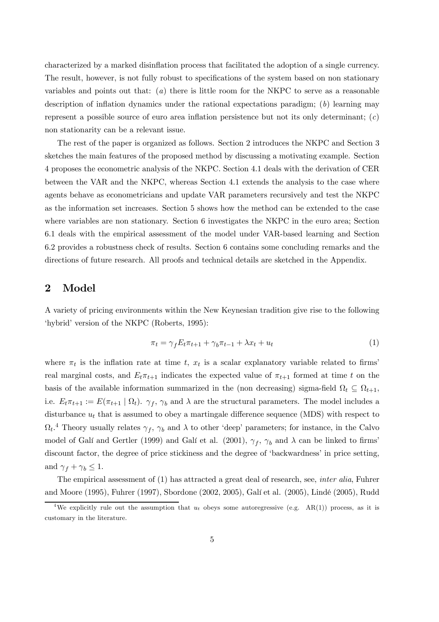characterized by a marked disinflation process that facilitated the adoption of a single currency. The result, however, is not fully robust to specifications of the system based on non stationary variables and points out that:  $(a)$  there is little room for the NKPC to serve as a reasonable description of inflation dynamics under the rational expectations paradigm; (b) learning may represent a possible source of euro area inflation persistence but not its only determinant;  $(c)$ non stationarity can be a relevant issue.

The rest of the paper is organized as follows. Section 2 introduces the NKPC and Section 3 sketches the main features of the proposed method by discussing a motivating example. Section 4 proposes the econometric analysis of the NKPC. Section 4.1 deals with the derivation of CER between the VAR and the NKPC, whereas Section 4.1 extends the analysis to the case where agents behave as econometricians and update VAR parameters recursively and test the NKPC as the information set increases. Section 5 shows how the method can be extended to the case where variables are non stationary. Section 6 investigates the NKPC in the euro area; Section 6.1 deals with the empirical assessment of the model under VAR-based learning and Section 6.2 provides a robustness check of results. Section 6 contains some concluding remarks and the directions of future research. All proofs and technical details are sketched in the Appendix.

## 2 Model

A variety of pricing environments within the New Keynesian tradition give rise to the following 'hybrid' version of the NKPC (Roberts, 1995):

$$
\pi_t = \gamma_f E_t \pi_{t+1} + \gamma_b \pi_{t-1} + \lambda x_t + u_t \tag{1}
$$

where  $\pi_t$  is the inflation rate at time t,  $x_t$  is a scalar explanatory variable related to firms' real marginal costs, and  $E_t \pi_{t+1}$  indicates the expected value of  $\pi_{t+1}$  formed at time t on the basis of the available information summarized in the (non decreasing) sigma-field  $\Omega_t \subseteq \Omega_{t+1}$ , i.e.  $E_t \pi_{t+1} := E(\pi_{t+1} | \Omega_t)$ .  $\gamma_f$ ,  $\gamma_b$  and  $\lambda$  are the structural parameters. The model includes a disturbance  $u_t$  that is assumed to obey a martingale difference sequence (MDS) with respect to  $\Omega_t$ <sup>4</sup> Theory usually relates  $\gamma_f$ ,  $\gamma_b$  and  $\lambda$  to other 'deep' parameters; for instance, in the Calvo model of Galí and Gertler (1999) and Galí et al. (2001),  $\gamma_f$ ,  $\gamma_b$  and  $\lambda$  can be linked to firms' discount factor, the degree of price stickiness and the degree of 'backwardness' in price setting, and  $\gamma_f + \gamma_b \leq 1$ .

The empirical assessment of (1) has attracted a great deal of research, see, inter alia, Fuhrer and Moore (1995), Fuhrer (1997), Sbordone (2002, 2005), Galí et al. (2005), Lindé (2005), Rudd

<sup>&</sup>lt;sup>4</sup>We explicitly rule out the assumption that  $u_t$  obeys some autoregressive (e.g. AR(1)) process, as it is customary in the literature.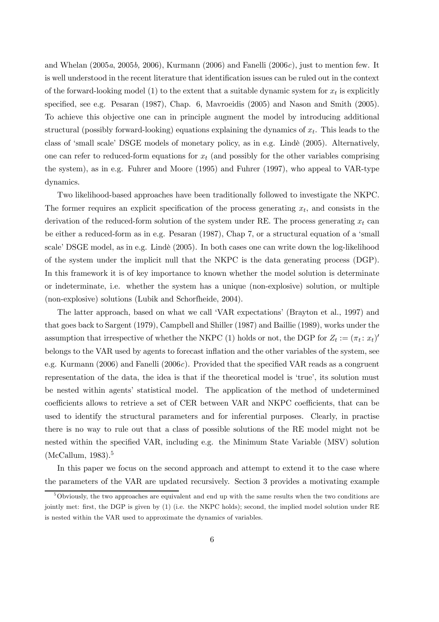and Whelan  $(2005a, 2005b, 2006)$ , Kurmann  $(2006)$  and Fanelli  $(2006c)$ , just to mention few. It is well understood in the recent literature that identification issues can be ruled out in the context of the forward-looking model (1) to the extent that a suitable dynamic system for  $x_t$  is explicitly specified, see e.g. Pesaran (1987), Chap. 6, Mavroeidis (2005) and Nason and Smith (2005). To achieve this objective one can in principle augment the model by introducing additional structural (possibly forward-looking) equations explaining the dynamics of  $x_t$ . This leads to the class of 'small scale' DSGE models of monetary policy, as in e.g. Lindè (2005). Alternatively, one can refer to reduced-form equations for  $x_t$  (and possibly for the other variables comprising the system), as in e.g. Fuhrer and Moore (1995) and Fuhrer (1997), who appeal to VAR-type dynamics.

Two likelihood-based approaches have been traditionally followed to investigate the NKPC. The former requires an explicit specification of the process generating  $x_t$ , and consists in the derivation of the reduced-form solution of the system under RE. The process generating  $x_t$  can be either a reduced-form as in e.g. Pesaran (1987), Chap 7, or a structural equation of a 'small scale' DSGE model, as in e.g. Lindè (2005). In both cases one can write down the log-likelihood of the system under the implicit null that the NKPC is the data generating process (DGP). In this framework it is of key importance to known whether the model solution is determinate or indeterminate, i.e. whether the system has a unique (non-explosive) solution, or multiple (non-explosive) solutions (Lubik and Schorfheide, 2004).

The latter approach, based on what we call 'VAR expectations' (Brayton et al., 1997) and that goes back to Sargent (1979), Campbell and Shiller (1987) and Baillie (1989), works under the assumption that irrespective of whether the NKPC (1) holds or not, the DGP for  $Z_t := (\pi_t : x_t)'$ belongs to the VAR used by agents to forecast inflation and the other variables of the system, see e.g. Kurmann (2006) and Fanelli (2006 $c$ ). Provided that the specified VAR reads as a congruent representation of the data, the idea is that if the theoretical model is 'true', its solution must be nested within agents' statistical model. The application of the method of undetermined coefficients allows to retrieve a set of CER between VAR and NKPC coefficients, that can be used to identify the structural parameters and for inferential purposes. Clearly, in practise there is no way to rule out that a class of possible solutions of the RE model might not be nested within the specified VAR, including e.g. the Minimum State Variable (MSV) solution  $(McCallum, 1983).<sup>5</sup>$ 

In this paper we focus on the second approach and attempt to extend it to the case where the parameters of the VAR are updated recursively. Section 3 provides a motivating example

 $5$ Obviously, the two approaches are equivalent and end up with the same results when the two conditions are jointly met: first, the DGP is given by (1) (i.e. the NKPC holds); second, the implied model solution under RE is nested within the VAR used to approximate the dynamics of variables.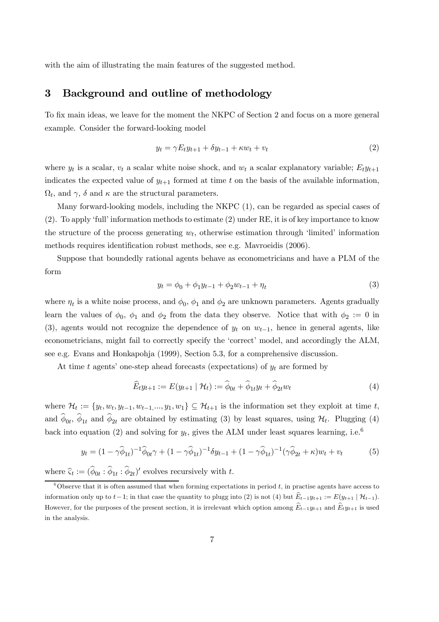with the aim of illustrating the main features of the suggested method.

## 3 Background and outline of methodology

To fix main ideas, we leave for the moment the NKPC of Section 2 and focus on a more general example. Consider the forward-looking model

$$
y_t = \gamma E_t y_{t+1} + \delta y_{t-1} + \kappa w_t + v_t \tag{2}
$$

where  $y_t$  is a scalar,  $v_t$  a scalar white noise shock, and  $w_t$  a scalar explanatory variable;  $E_t y_{t+1}$ indicates the expected value of  $y_{t+1}$  formed at time t on the basis of the available information,  $\Omega_t$ , and  $\gamma$ ,  $\delta$  and  $\kappa$  are the structural parameters.

Many forward-looking models, including the NKPC (1), can be regarded as special cases of (2). To apply 'full' information methods to estimate (2) under RE, it is of key importance to know the structure of the process generating  $w_t$ , otherwise estimation through 'limited' information methods requires identification robust methods, see e.g. Mavroeidis (2006).

Suppose that boundedly rational agents behave as econometricians and have a PLM of the form

$$
y_t = \phi_0 + \phi_1 y_{t-1} + \phi_2 w_{t-1} + \eta_t \tag{3}
$$

where  $\eta_t$  is a white noise process, and  $\phi_0$ ,  $\phi_1$  and  $\phi_2$  are unknown parameters. Agents gradually learn the values of  $\phi_0$ ,  $\phi_1$  and  $\phi_2$  from the data they observe. Notice that with  $\phi_2 := 0$  in (3), agents would not recognize the dependence of  $y_t$  on  $w_{t-1}$ , hence in general agents, like econometricians, might fail to correctly specify the 'correct' model, and accordingly the ALM, see e.g. Evans and Honkapohja (1999), Section 5.3, for a comprehensive discussion.

At time t agents' one-step ahead forecasts (expectations) of  $y_t$  are formed by

$$
\widehat{E}_t y_{t+1} := E(y_{t+1} | \mathcal{H}_t) := \widehat{\phi}_{0t} + \widehat{\phi}_{1t} y_t + \widehat{\phi}_{2t} w_t \tag{4}
$$

where  $\mathcal{H}_t := \{y_t, w_t, y_{t-1}, w_{t-1}, \dots, y_1, w_1\} \subseteq \mathcal{H}_{t+1}$  is the information set they exploit at time t, and  $\phi_{0t}$ ,  $\phi_{1t}$  and  $\phi_{2t}$  are obtained by estimating (3) by least squares, using  $\mathcal{H}_t$ . Plugging (4) back into equation (2) and solving for  $y_t$ , gives the ALM under least squares learning, i.e.<sup>6</sup>

$$
y_t = (1 - \gamma \hat{\phi}_{1t})^{-1} \hat{\phi}_{0t} \gamma + (1 - \gamma \hat{\phi}_{1t})^{-1} \delta y_{t-1} + (1 - \gamma \hat{\phi}_{1t})^{-1} (\gamma \hat{\phi}_{2t} + \kappa) w_t + v_t
$$
(5)

where  $\hat{\zeta}_t := (\hat{\phi}_{0t} : \hat{\phi}_{1t} : \hat{\phi}_{2t})'$  evolves recursively with t.

 $6$ Observe that it is often assumed that when forming expectations in period t, in practise agents have access to information only up to  $t-1$ ; in that case the quantity to plugg into (2) is not (4) but  $\widehat{E}_{t-1}y_{t+1} := E(y_{t+1} | \mathcal{H}_{t-1})$ . However, for the purposes of the present section, it is irrelevant which option among  $\widehat{E}_{t-1}y_{t+1}$  and  $\widehat{E}_{t}y_{t+1}$  is used in the analysis.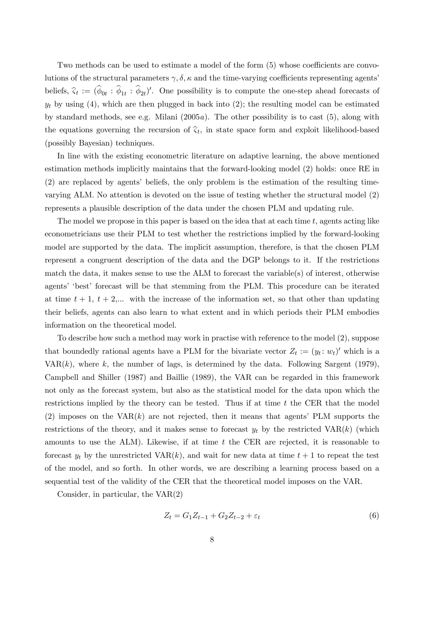Two methods can be used to estimate a model of the form (5) whose coefficients are convolutions of the structural parameters  $\gamma, \delta, \kappa$  and the time-varying coefficients representing agents' beliefs,  $\hat{\zeta}_t := (\hat{\phi}_{0t} : \hat{\phi}_{1t} : \hat{\phi}_{2t})'$ . One possibility is to compute the one-step ahead forecasts of  $y_t$  by using (4), which are then plugged in back into (2); the resulting model can be estimated by standard methods, see e.g. Milani  $(2005a)$ . The other possibility is to cast  $(5)$ , along with the equations governing the recursion of  $\hat{\varsigma}_t$ , in state space form and exploit likelihood-based (possibly Bayesian) techniques.

In line with the existing econometric literature on adaptive learning, the above mentioned estimation methods implicitly maintains that the forward-looking model (2) holds: once RE in (2) are replaced by agents' beliefs, the only problem is the estimation of the resulting timevarying ALM. No attention is devoted on the issue of testing whether the structural model (2) represents a plausible description of the data under the chosen PLM and updating rule.

The model we propose in this paper is based on the idea that at each time  $t$ , agents acting like econometricians use their PLM to test whether the restrictions implied by the forward-looking model are supported by the data. The implicit assumption, therefore, is that the chosen PLM represent a congruent description of the data and the DGP belongs to it. If the restrictions match the data, it makes sense to use the ALM to forecast the variable(s) of interest, otherwise agents' 'best' forecast will be that stemming from the PLM. This procedure can be iterated at time  $t + 1$ ,  $t + 2,...$  with the increase of the information set, so that other than updating their beliefs, agents can also learn to what extent and in which periods their PLM embodies information on the theoretical model.

To describe how such a method may work in practise with reference to the model (2), suppose that boundedly rational agents have a PLM for the bivariate vector  $Z_t := (y_t : w_t)'$  which is a  $VAR(k)$ , where k, the number of lags, is determined by the data. Following Sargent (1979), Campbell and Shiller (1987) and Baillie (1989), the VAR can be regarded in this framework not only as the forecast system, but also as the statistical model for the data upon which the restrictions implied by the theory can be tested. Thus if at time  $t$  the CER that the model (2) imposes on the  $VAR(k)$  are not rejected, then it means that agents' PLM supports the restrictions of the theory, and it makes sense to forecast  $y_t$  by the restricted VAR $(k)$  (which amounts to use the ALM). Likewise, if at time  $t$  the CER are rejected, it is reasonable to forecast  $y_t$  by the unrestricted VAR $(k)$ , and wait for new data at time  $t + 1$  to repeat the test of the model, and so forth. In other words, we are describing a learning process based on a sequential test of the validity of the CER that the theoretical model imposes on the VAR.

Consider, in particular, the VAR(2)

$$
Z_t = G_1 Z_{t-1} + G_2 Z_{t-2} + \varepsilon_t \tag{6}
$$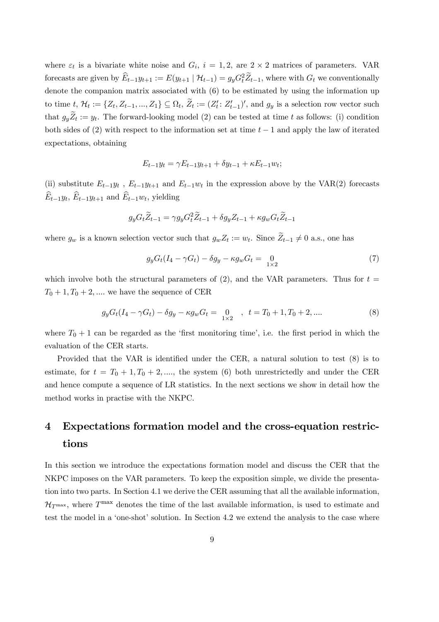where  $\varepsilon_t$  is a bivariate white noise and  $G_i$ ,  $i = 1, 2$ , are  $2 \times 2$  matrices of parameters. VAR forecasts are given by  $\widehat{E}_{t-1}y_{t+1} := E(y_{t+1} | \mathcal{H}_{t-1}) = g_y G_t^2 \widetilde{Z}_{t-1}$ , where with  $G_t$  we conventionally denote the companion matrix associated with (6) to be estimated by using the information up to time  $t, \mathcal{H}_t := \{Z_t, Z_{t-1}, ..., Z_1\} \subseteq \Omega_t, \widetilde{Z}_t := (Z'_t : Z'_{t-1})'$ , and  $g_y$  is a selection row vector such that  $g_y Z_t := y_t$ . The forward-looking model (2) can be tested at time t as follows: (i) condition both sides of (2) with respect to the information set at time  $t-1$  and apply the law of iterated expectations, obtaining

$$
E_{t-1}y_t = \gamma E_{t-1}y_{t+1} + \delta y_{t-1} + \kappa E_{t-1}w_t;
$$

(ii) substitute  $E_{t-1}y_t$ ,  $E_{t-1}y_{t+1}$  and  $E_{t-1}w_t$  in the expression above by the VAR(2) forecasts  $E_{t-1}y_t$ ,  $E_{t-1}y_{t+1}$  and  $E_{t-1}w_t$ , yielding

$$
g_y G_t \widetilde{Z}_{t-1} = \gamma g_y G_t^2 \widetilde{Z}_{t-1} + \delta g_y Z_{t-1} + \kappa g_w G_t \widetilde{Z}_{t-1}
$$

where  $g_w$  is a known selection vector such that  $g_w Z_t := w_t$ . Since  $Z_{t-1} \neq 0$  a.s., one has

$$
g_y G_t (I_4 - \gamma G_t) - \delta g_y - \kappa g_w G_t = 0
$$
\n<sup>(7)</sup>

which involve both the structural parameters of (2), and the VAR parameters. Thus for  $t =$  $T_0 + 1, T_0 + 2, \dots$  we have the sequence of CER

$$
g_y G_t (I_4 - \gamma G_t) - \delta g_y - \kappa g_w G_t = \underset{1 \times 2}{0} , \quad t = T_0 + 1, T_0 + 2, \dots
$$
 (8)

where  $T_0 + 1$  can be regarded as the 'first monitoring time', i.e. the first period in which the evaluation of the CER starts.

Provided that the VAR is identified under the CER, a natural solution to test (8) is to estimate, for  $t = T_0 + 1, T_0 + 2, \dots$ , the system (6) both unrestrictedly and under the CER and hence compute a sequence of LR statistics. In the next sections we show in detail how the method works in practise with the NKPC.

## 4 Expectations formation model and the cross-equation restrictions

In this section we introduce the expectations formation model and discuss the CER that the NKPC imposes on the VAR parameters. To keep the exposition simple, we divide the presentation into two parts. In Section 4.1 we derive the CER assuming that all the available information,  $\mathcal{H}_{T^{\max}}$ , where  $T^{\max}$  denotes the time of the last available information, is used to estimate and test the model in a 'one-shot' solution. In Section 4.2 we extend the analysis to the case where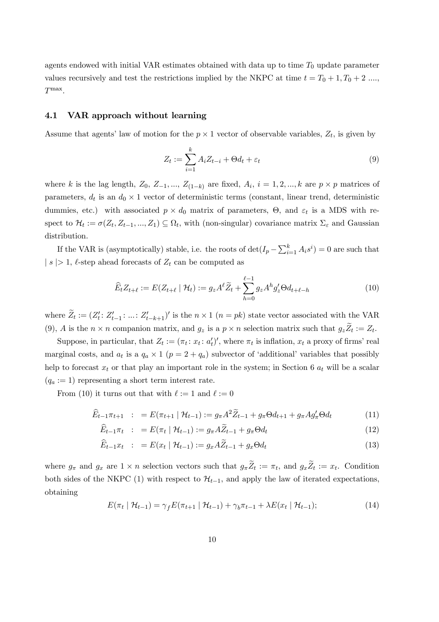agents endowed with initial VAR estimates obtained with data up to time  $T_0$  update parameter values recursively and test the restrictions implied by the NKPC at time  $t = T_0 + 1, T_0 + 2, \ldots$  $T^{\max}$ .

#### 4.1 VAR approach without learning

Assume that agents' law of motion for the  $p \times 1$  vector of observable variables,  $Z_t$ , is given by

$$
Z_t := \sum_{i=1}^k A_i Z_{t-i} + \Theta d_t + \varepsilon_t \tag{9}
$$

where k is the lag length,  $Z_0$ ,  $Z_{-1}$ , ...,  $Z_{(1-k)}$  are fixed,  $A_i$ ,  $i = 1, 2, ..., k$  are  $p \times p$  matrices of parameters,  $d_t$  is an  $d_0 \times 1$  vector of deterministic terms (constant, linear trend, deterministic dummies, etc.) with associated  $p \times d_0$  matrix of parameters,  $\Theta$ , and  $\varepsilon_t$  is a MDS with respect to  $\mathcal{H}_t := \sigma(Z_t, Z_{t-1}, ..., Z_1) \subseteq \Omega_t$ , with (non-singular) covariance matrix  $\Sigma_{\varepsilon}$  and Gaussian distribution.

If the VAR is (asymptotically) stable, i.e. the roots of  $\det(I_p - \sum_{i=1}^k A_i s^i) = 0$  are such that  $| s | > 1$ ,  $\ell$ -step ahead forecasts of  $Z_t$  can be computed as

$$
\widehat{E}_t Z_{t+\ell} := E(Z_{t+\ell} \mid \mathcal{H}_t) := g_z A^{\ell} \widetilde{Z}_t + \sum_{h=0}^{\ell-1} g_z A^h g'_z \Theta d_{t+\ell-h}
$$
\n(10)

where  $\tilde{Z}_t := (Z'_t: Z'_{t-1}: ...: Z'_{t-k+1})'$  is the  $n \times 1$   $(n = pk)$  state vector associated with the VAR (9), A is the  $n \times n$  companion matrix, and  $g_z$  is a  $p \times n$  selection matrix such that  $g_z Z_t := Z_t$ .

Suppose, in particular, that  $Z_t := (\pi_t : x_t : a_t')'$ , where  $\pi_t$  is inflation,  $x_t$  a proxy of firms' real marginal costs, and  $a_t$  is a  $q_a \times 1$   $(p = 2 + q_a)$  subvector of 'additional' variables that possibly help to forecast  $x_t$  or that play an important role in the system; in Section 6  $a_t$  will be a scalar  $(q_a := 1)$  representing a short term interest rate.

From (10) it turns out that with  $\ell := 1$  and  $\ell := 0$ 

$$
\widehat{E}_{t-1}\pi_{t+1} : E(\pi_{t+1} | \mathcal{H}_{t-1}) := g_{\pi}A^2 \widetilde{Z}_{t-1} + g_{\pi}\Theta d_{t+1} + g_{\pi}Ag_{\pi}'\Theta d_{t} \tag{11}
$$

$$
\widehat{E}_{t-1}\pi_t : = E(\pi_t | \mathcal{H}_{t-1}) := g_{\pi}A\widetilde{Z}_{t-1} + g_{\pi}\Theta d_t \tag{12}
$$

$$
\widehat{E}_{t-1}x_t : E(x_t | \mathcal{H}_{t-1}) := g_x A \widetilde{Z}_{t-1} + g_x \Theta d_t \tag{13}
$$

where  $g_{\pi}$  and  $g_x$  are  $1 \times n$  selection vectors such that  $g_{\pi}Z_t := \pi_t$ , and  $g_xZ_t := x_t$ . Condition both sides of the NKPC (1) with respect to  $\mathcal{H}_{t-1}$ , and apply the law of iterated expectations, obtaining

$$
E(\pi_t | \mathcal{H}_{t-1}) = \gamma_f E(\pi_{t+1} | \mathcal{H}_{t-1}) + \gamma_b \pi_{t-1} + \lambda E(x_t | \mathcal{H}_{t-1});
$$
\n(14)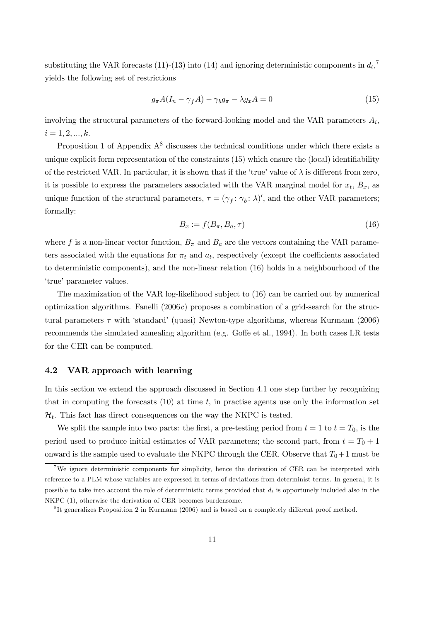substituting the VAR forecasts (11)-(13) into (14) and ignoring deterministic components in  $d_t$ ,<sup>7</sup> yields the following set of restrictions

$$
g_{\pi}A(I_n - \gamma_f A) - \gamma_b g_{\pi} - \lambda g_x A = 0 \tag{15}
$$

involving the structural parameters of the forward-looking model and the VAR parameters  $A_i$ ,  $i = 1, 2, ..., k.$ 

Proposition 1 of Appendix  $A^8$  discusses the technical conditions under which there exists a unique explicit form representation of the constraints (15) which ensure the (local) identifiability of the restricted VAR. In particular, it is shown that if the 'true' value of  $\lambda$  is different from zero, it is possible to express the parameters associated with the VAR marginal model for  $x_t$ ,  $B_x$ , as unique function of the structural parameters,  $\tau = (\gamma_f : \gamma_b : \lambda)'$ , and the other VAR parameters; formally:

$$
B_x := f(B_\pi, B_a, \tau) \tag{16}
$$

where f is a non-linear vector function,  $B_{\pi}$  and  $B_{a}$  are the vectors containing the VAR parameters associated with the equations for  $\pi_t$  and  $a_t$ , respectively (except the coefficients associated to deterministic components), and the non-linear relation (16) holds in a neighbourhood of the 'true' parameter values.

The maximization of the VAR log-likelihood subject to (16) can be carried out by numerical optimization algorithms. Fanelli  $(2006c)$  proposes a combination of a grid-search for the structural parameters  $\tau$  with 'standard' (quasi) Newton-type algorithms, whereas Kurmann (2006) recommends the simulated annealing algorithm (e.g. Goffe et al., 1994). In both cases LR tests for the CER can be computed.

#### 4.2 VAR approach with learning

In this section we extend the approach discussed in Section 4.1 one step further by recognizing that in computing the forecasts  $(10)$  at time t, in practise agents use only the information set  $\mathcal{H}_t$ . This fact has direct consequences on the way the NKPC is tested.

We split the sample into two parts: the first, a pre-testing period from  $t = 1$  to  $t = T_0$ , is the period used to produce initial estimates of VAR parameters; the second part, from  $t = T_0 + 1$ onward is the sample used to evaluate the NKPC through the CER. Observe that  $T_0+1$  must be

<sup>&</sup>lt;sup>7</sup>We ignore deterministic components for simplicity, hence the derivation of CER can be interpreted with reference to a PLM whose variables are expressed in terms of deviations from determinist terms. In general, it is possible to take into account the role of deterministic terms provided that  $d_t$  is opportunely included also in the NKPC (1), otherwise the derivation of CER becomes burdensome.

<sup>&</sup>lt;sup>8</sup>It generalizes Proposition 2 in Kurmann (2006) and is based on a completely different proof method.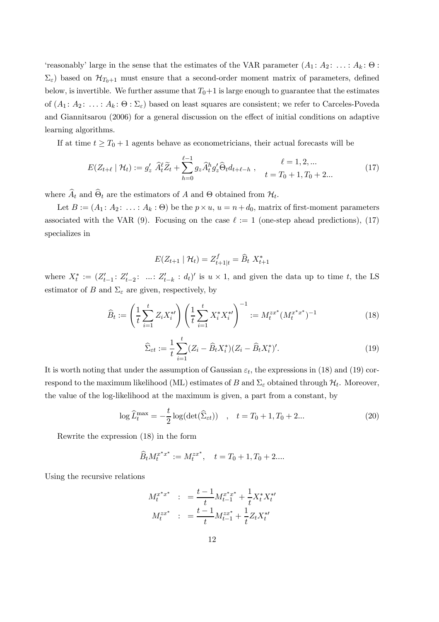'reasonably' large in the sense that the estimates of the VAR parameter  $(A_1: A_2: \ldots: A_k: \Theta:$  $\Sigma_{\varepsilon}$ ) based on  $\mathcal{H}_{T_0+1}$  must ensure that a second-order moment matrix of parameters, defined below, is invertible. We further assume that  $T_0+1$  is large enough to guarantee that the estimates of  $(A_1: A_2: \ldots: A_k: \Theta: \Sigma_{\varepsilon})$  based on least squares are consistent; we refer to Carceles-Poveda and Giannitsarou (2006) for a general discussion on the effect of initial conditions on adaptive learning algorithms.

If at time  $t \geq T_0 + 1$  agents behave as econometricians, their actual forecasts will be

$$
E(Z_{t+\ell} \mid \mathcal{H}_t) := g'_z \; \widehat{A}_t^{\ell} \widetilde{Z}_t + \sum_{h=0}^{\ell-1} g_z \widehat{A}_t^h g'_z \widehat{\Theta}_t d_{t+\ell-h} \;, \qquad \ell = 1, 2, \dots \atop t = T_0 + 1, T_0 + 2 \dots \tag{17}
$$

where  $A_t$  and  $\Theta_t$  are the estimators of A and  $\Theta$  obtained from  $\mathcal{H}_t$ .

Let  $B := (A_1 : A_2 : \ldots : A_k : \Theta)$  be the  $p \times u$ ,  $u = n + d_0$ , matrix of first-moment parameters associated with the VAR (9). Focusing on the case  $\ell := 1$  (one-step ahead predictions), (17) specializes in

$$
E(Z_{t+1} | \mathcal{H}_t) = Z_{t+1|t}^f = \widehat{B}_t X_{t+1}^*
$$

where  $X_t^* := (Z_{t-1}^t: Z_{t-2}^t: ...: Z_{t-k}^t: d_t)'$  is  $u \times 1$ , and given the data up to time t, the LS estimator of B and  $\Sigma_{\varepsilon}$  are given, respectively, by

$$
\widehat{B}_t := \left(\frac{1}{t} \sum_{i=1}^t Z_i X_i^{*t}\right) \left(\frac{1}{t} \sum_{i=1}^t X_i^* X_i^{*t}\right)^{-1} := M_t^{zx^*} (M_t^{x^*x^*})^{-1}
$$
\n(18)

$$
\widehat{\Sigma}_{\varepsilon t} := \frac{1}{t} \sum_{i=1}^{t} (Z_i - \widehat{B}_t X_i^*)(Z_i - \widehat{B}_t X_i^*)'. \tag{19}
$$

It is worth noting that under the assumption of Gaussian  $\varepsilon_t$ , the expressions in (18) and (19) correspond to the maximum likelihood (ML) estimates of  $B$  and  $\Sigma_\varepsilon$  obtained through  $\mathcal{H}_t$ . Moreover, the value of the log-likelihood at the maximum is given, a part from a constant, by

$$
\log \widehat{L}_t^{\max} = -\frac{t}{2} \log(\det(\widehat{\Sigma}_{\varepsilon t})) \quad , \quad t = T_0 + 1, T_0 + 2... \tag{20}
$$

Rewrite the expression (18) in the form

$$
\widehat{B}_t M_t^{x^* x^*} := M_t^{zx^*}, \quad t = T_0 + 1, T_0 + 2...
$$

Using the recursive relations

$$
M_t^{x^*x^*} := \frac{t-1}{t} M_{t-1}^{x^*x^*} + \frac{1}{t} X_t^* X_t^{*t}
$$

$$
M_t^{zx^*} := \frac{t-1}{t} M_{t-1}^{zx^*} + \frac{1}{t} Z_t X_t^{*t}
$$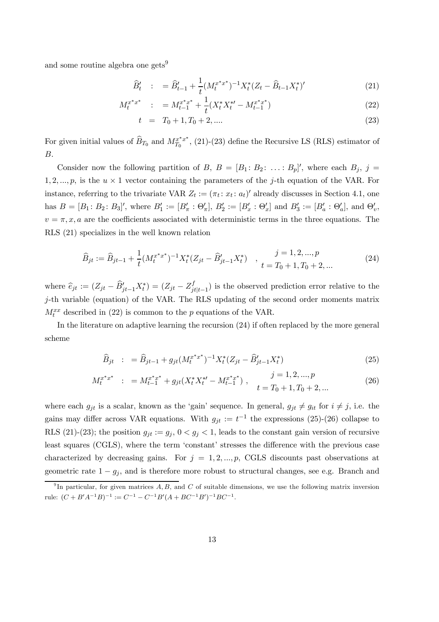and some routine algebra one gets<sup>9</sup>

$$
\widehat{B}'_t : = \widehat{B}'_{t-1} + \frac{1}{t} (M_t^{x^*x^*})^{-1} X_t^* (Z_t - \widehat{B}_{t-1} X_t^*)'
$$
\n(21)

$$
M_t^{x^*x^*} \quad : \quad = M_{t-1}^{x^*x^*} + \frac{1}{t}(X_t^*X_t^{*\prime} - M_{t-1}^{x^*x^*}) \tag{22}
$$

$$
t = T_0 + 1, T_0 + 2, \dots \tag{23}
$$

For given initial values of  $\widehat{B}_{T_0}$  and  $M_{T_0}^{x^*x^*}$ , (21)-(23) define the Recursive LS (RLS) estimator of B.

Consider now the following partition of B,  $B = [B_1 : B_2 : \ldots : B_p]'$ , where each  $B_j$ ,  $j =$ 1, 2, ..., p, is the  $u \times 1$  vector containing the parameters of the j-th equation of the VAR. For instance, referring to the trivariate VAR  $Z_t := (\pi_t : x_t : a_t)'$  already discusses in Section 4.1, one has  $B = [B_1 : B_2 : B_3]'$ , where  $B'_1 := [B'_\pi : \Theta'_\pi]$ ,  $B'_2 := [B'_x : \Theta'_x]$  and  $B'_3 := [B'_a : \Theta'_a]$ , and  $\Theta'_v$ ,  $v = \pi, x, a$  are the coefficients associated with deterministic terms in the three equations. The RLS (21) specializes in the well known relation

$$
\widehat{B}_{jt} := \widehat{B}_{jt-1} + \frac{1}{t} (M_t^{x^*x^*})^{-1} X_t^* (Z_{jt} - \widehat{B}'_{jt-1} X_t^*) \quad , \quad \frac{j = 1, 2, ..., p}{t = T_0 + 1, T_0 + 2, ...}
$$
\n
$$
(24)
$$

where  $\hat{e}_{jt} := (Z_{jt} - \hat{B}'_{jt-1}X^*_t) = (Z_{jt} - Z^f_{jt})$  $j_{j|t-1}$ ) is the observed prediction error relative to the j-th variable (equation) of the VAR. The RLS updating of the second order moments matrix  $M_t^{xx}$  described in (22) is common to the p equations of the VAR.

In the literature on adaptive learning the recursion (24) if often replaced by the more general scheme

$$
\widehat{B}_{jt} : = \widehat{B}_{jt-1} + g_{jt} (M_t^{x^*x^*})^{-1} X_t^* (Z_{jt} - \widehat{B}'_{jt-1} X_t^*)
$$
\n(25)

$$
M_t^{x^*x^*} \; : \; = M_{t-1}^{x^*x^*} + g_{jt}(X_t^*X_t^{*\prime} - M_{t-1}^{x^*x^*}) \;, \qquad j = 1, 2, ..., p
$$
\n
$$
t = T_0 + 1, T_0 + 2, ... \tag{26}
$$

where each  $g_{jt}$  is a scalar, known as the 'gain' sequence. In general,  $g_{jt} \neq g_{it}$  for  $i \neq j$ , i.e. the gains may differ across VAR equations. With  $g_{jt} := t^{-1}$  the expressions (25)-(26) collapse to RLS (21)-(23); the position  $g_{jt} := g_j$ ,  $0 < g_j < 1$ , leads to the constant gain version of recursive least squares (CGLS), where the term 'constant' stresses the difference with the previous case characterized by decreasing gains. For  $j = 1, 2, ..., p$ , CGLS discounts past observations at geometric rate  $1 - g_j$ , and is therefore more robust to structural changes, see e.g. Branch and

<sup>&</sup>lt;sup>9</sup>In particular, for given matrices  $A, B$ , and  $C$  of suitable dimensions, we use the following matrix inversion rule:  $(C + B'A^{-1}B)^{-1} := C^{-1} - C^{-1}B'(A + BC^{-1}B')^{-1}BC^{-1}.$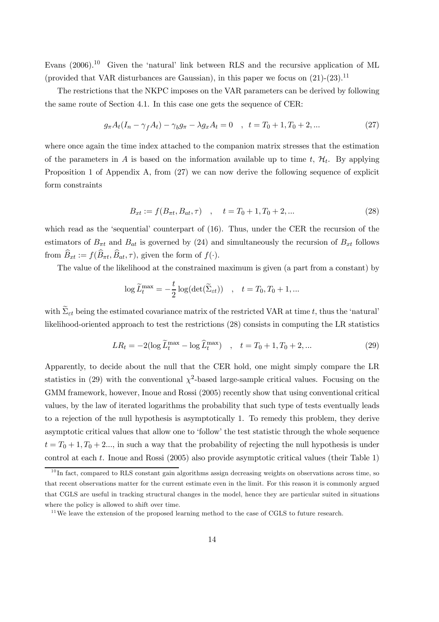Evans  $(2006).^{10}$  Given the 'natural' link between RLS and the recursive application of ML (provided that VAR disturbances are Gaussian), in this paper we focus on  $(21)-(23)$ .<sup>11</sup>

The restrictions that the NKPC imposes on the VAR parameters can be derived by following the same route of Section 4.1. In this case one gets the sequence of CER:

$$
g_{\pi}A_t(I_n - \gamma_f A_t) - \gamma_b g_{\pi} - \lambda g_x A_t = 0 \quad , \quad t = T_0 + 1, T_0 + 2, \dots \tag{27}
$$

where once again the time index attached to the companion matrix stresses that the estimation of the parameters in A is based on the information available up to time t,  $\mathcal{H}_t$ . By applying Proposition 1 of Appendix A, from (27) we can now derive the following sequence of explicit form constraints

$$
B_{xt} := f(B_{\pi t}, B_{at}, \tau) \quad , \quad t = T_0 + 1, T_0 + 2, \dots \tag{28}
$$

which read as the 'sequential' counterpart of (16). Thus, under the CER the recursion of the estimators of  $B_{\pi t}$  and  $B_{at}$  is governed by (24) and simultaneously the recursion of  $B_{xt}$  follows from  $\widehat{B}_{xt} := f(\widehat{B}_{\pi t}, \widehat{B}_{at}, \tau)$ , given the form of  $f(\cdot)$ .

The value of the likelihood at the constrained maximum is given (a part from a constant) by

$$
\log \widetilde{L}_t^{\max} = -\frac{t}{2} \log(\det(\widetilde{\Sigma}_{\varepsilon t})) \quad , \quad t = T_0, T_0 + 1, \dots
$$

with  $\widetilde{\Sigma}_{\varepsilon t}$  being the estimated covariance matrix of the restricted VAR at time t, thus the 'natural' likelihood-oriented approach to test the restrictions (28) consists in computing the LR statistics

$$
LR_t = -2(\log \widetilde{L}_t^{\max} - \log \widehat{L}_t^{\max}) \quad , \quad t = T_0 + 1, T_0 + 2, \dots \tag{29}
$$

Apparently, to decide about the null that the CER hold, one might simply compare the LR statistics in (29) with the conventional  $\chi^2$ -based large-sample critical values. Focusing on the GMM framework, however, Inoue and Rossi (2005) recently show that using conventional critical values, by the law of iterated logarithms the probability that such type of tests eventually leads to a rejection of the null hypothesis is asymptotically 1. To remedy this problem, they derive asymptotic critical values that allow one to 'follow' the test statistic through the whole sequence  $t = T_0 + 1, T_0 + 2...$ , in such a way that the probability of rejecting the null hypothesis is under control at each t. Inoue and Rossi (2005) also provide asymptotic critical values (their Table 1)

 $10$  In fact, compared to RLS constant gain algorithms assign decreasing weights on observations across time, so that recent observations matter for the current estimate even in the limit. For this reason it is commonly argued that CGLS are useful in tracking structural changes in the model, hence they are particular suited in situations where the policy is allowed to shift over time.

<sup>&</sup>lt;sup>11</sup>We leave the extension of the proposed learning method to the case of CGLS to future research.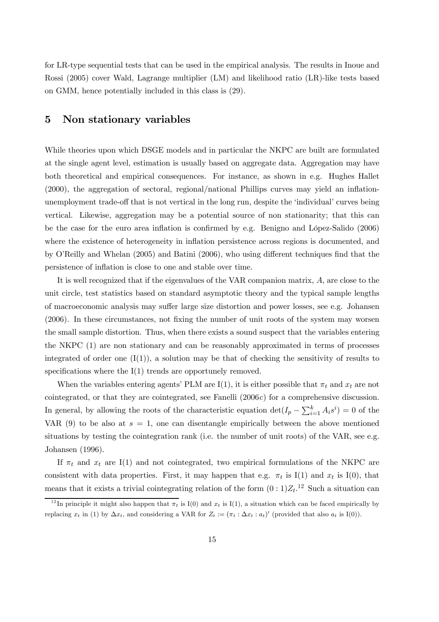for LR-type sequential tests that can be used in the empirical analysis. The results in Inoue and Rossi (2005) cover Wald, Lagrange multiplier (LM) and likelihood ratio (LR)-like tests based on GMM, hence potentially included in this class is (29).

### 5 Non stationary variables

While theories upon which DSGE models and in particular the NKPC are built are formulated at the single agent level, estimation is usually based on aggregate data. Aggregation may have both theoretical and empirical consequences. For instance, as shown in e.g. Hughes Hallet (2000), the aggregation of sectoral, regional/national Phillips curves may yield an inflationunemployment trade-off that is not vertical in the long run, despite the 'individual' curves being vertical. Likewise, aggregation may be a potential source of non stationarity; that this can be the case for the euro area inflation is confirmed by e.g. Benigno and López-Salido (2006) where the existence of heterogeneity in inflation persistence across regions is documented, and by O'Reilly and Whelan (2005) and Batini (2006), who using different techniques find that the persistence of inflation is close to one and stable over time.

It is well recognized that if the eigenvalues of the VAR companion matrix, A, are close to the unit circle, test statistics based on standard asymptotic theory and the typical sample lengths of macroeconomic analysis may suffer large size distortion and power losses, see e.g. Johansen (2006). In these circumstances, not fixing the number of unit roots of the system may worsen the small sample distortion. Thus, when there exists a sound suspect that the variables entering the NKPC (1) are non stationary and can be reasonably approximated in terms of processes integrated of order one  $(I(1))$ , a solution may be that of checking the sensitivity of results to specifications where the I(1) trends are opportunely removed.

When the variables entering agents' PLM are I(1), it is either possible that  $\pi_t$  and  $x_t$  are not cointegrated, or that they are cointegrated, see Fanelli  $(2006c)$  for a comprehensive discussion. In general, by allowing the roots of the characteristic equation  $\det(I_p - \sum_{i=1}^k A_i s^i) = 0$  of the VAR (9) to be also at  $s = 1$ , one can disentangle empirically between the above mentioned situations by testing the cointegration rank (i.e. the number of unit roots) of the VAR, see e.g. Johansen (1996).

If  $\pi_t$  and  $x_t$  are I(1) and not cointegrated, two empirical formulations of the NKPC are consistent with data properties. First, it may happen that e.g.  $\pi_t$  is I(1) and  $x_t$  is I(0), that means that it exists a trivial cointegrating relation of the form  $(0:1)Z_t$ .<sup>12</sup> Such a situation can

<sup>&</sup>lt;sup>12</sup>In principle it might also happen that  $\pi_t$  is I(0) and  $x_t$  is I(1), a situation which can be faced empirically by replacing  $x_t$  in (1) by  $\Delta x_t$ , and considering a VAR for  $Z_t := (\pi_t : \Delta x_t : a_t)'$  (provided that also  $a_t$  is I(0)).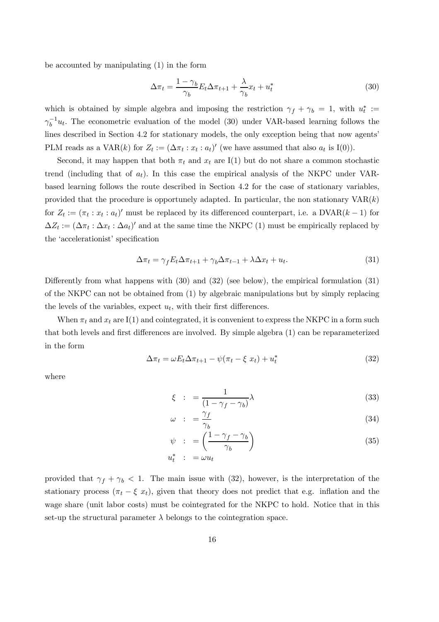be accounted by manipulating (1) in the form

$$
\Delta \pi_t = \frac{1 - \gamma_b}{\gamma_b} E_t \Delta \pi_{t+1} + \frac{\lambda}{\gamma_b} x_t + u_t^* \tag{30}
$$

which is obtained by simple algebra and imposing the restriction  $\gamma_f + \gamma_b = 1$ , with  $u_t^* :=$  $\gamma_b^{-1}u_t$ . The econometric evaluation of the model (30) under VAR-based learning follows the lines described in Section 4.2 for stationary models, the only exception being that now agents' PLM reads as a VAR(k) for  $Z_t := (\Delta \pi_t : x_t : a_t)'$  (we have assumed that also  $a_t$  is I(0)).

Second, it may happen that both  $\pi_t$  and  $x_t$  are I(1) but do not share a common stochastic trend (including that of  $a_t$ ). In this case the empirical analysis of the NKPC under VARbased learning follows the route described in Section 4.2 for the case of stationary variables, provided that the procedure is opportunely adapted. In particular, the non stationary  $VAR(k)$ for  $Z_t := (\pi_t : x_t : a_t)'$  must be replaced by its differenced counterpart, i.e. a DVAR(k – 1) for  $\Delta Z_t := (\Delta \pi_t : \Delta x_t : \Delta a_t)'$  and at the same time the NKPC (1) must be empirically replaced by the 'accelerationist' specification

$$
\Delta \pi_t = \gamma_f E_t \Delta \pi_{t+1} + \gamma_b \Delta \pi_{t-1} + \lambda \Delta x_t + u_t.
$$
\n(31)

Differently from what happens with (30) and (32) (see below), the empirical formulation (31) of the NKPC can not be obtained from (1) by algebraic manipulations but by simply replacing the levels of the variables, expect  $u_t$ , with their first differences.

When  $\pi_t$  and  $x_t$  are I(1) and cointegrated, it is convenient to express the NKPC in a form such that both levels and first differences are involved. By simple algebra (1) can be reparameterized in the form

$$
\Delta \pi_t = \omega E_t \Delta \pi_{t+1} - \psi(\pi_t - \xi x_t) + u_t^* \tag{32}
$$

where

$$
\xi \quad : \quad = \frac{1}{(1 - \gamma_f - \gamma_b)} \lambda \tag{33}
$$

$$
\omega \quad : \quad = \frac{\gamma_f}{\gamma_b} \tag{34}
$$

$$
\psi \quad : \quad = \left(\frac{1 - \gamma_f - \gamma_b}{\gamma_b}\right) \tag{35}
$$

$$
u_t^* = \omega u_t
$$

provided that  $\gamma_f + \gamma_b < 1$ . The main issue with (32), however, is the interpretation of the stationary process  $(\pi_t - \xi x_t)$ , given that theory does not predict that e.g. inflation and the wage share (unit labor costs) must be cointegrated for the NKPC to hold. Notice that in this set-up the structural parameter  $\lambda$  belongs to the cointegration space.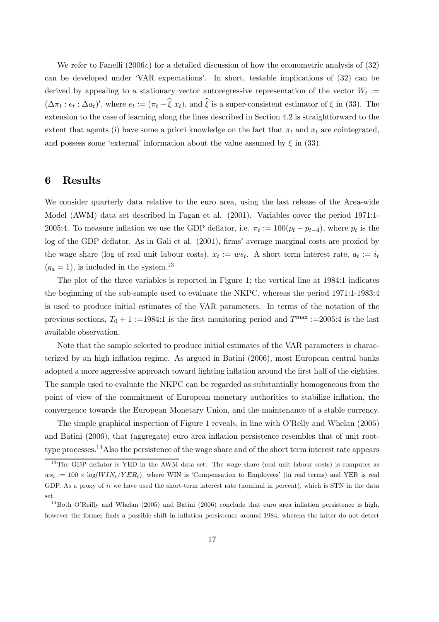We refer to Fanelli  $(2006c)$  for a detailed discussion of how the econometric analysis of  $(32)$ can be developed under 'VAR expectations'. In short, testable implications of (32) can be derived by appealing to a stationary vector autoregressive representation of the vector  $W_t :=$  $(\Delta \pi_t : e_t : \Delta a_t)'$ , where  $e_t := (\pi_t - \hat{\xi} x_t)$ , and  $\hat{\xi}$  is a super-consistent estimator of  $\xi$  in (33). The extension to the case of learning along the lines described in Section 4.2 is straightforward to the extent that agents (i) have some a priori knowledge on the fact that  $\pi_t$  and  $x_t$  are cointegrated, and possess some 'external' information about the value assumed by  $\xi$  in (33).

#### 6 Results

We consider quarterly data relative to the euro area, using the last release of the Area-wide Model (AWM) data set described in Fagan et al. (2001). Variables cover the period 1971:1- 2005:4. To measure inflation we use the GDP deflator, i.e.  $\pi_t := 100(p_t - p_{t-4})$ , where  $p_t$  is the log of the GDP deflator. As in Gali et al. (2001), firms' average marginal costs are proxied by the wage share (log of real unit labour costs),  $x_t := ws_t$ . A short term interest rate,  $a_t := i_t$  $(q_a = 1)$ , is included in the system.<sup>13</sup>

The plot of the three variables is reported in Figure 1; the vertical line at 1984:1 indicates the beginning of the sub-sample used to evaluate the NKPC, whereas the period 1971:1-1983:4 is used to produce initial estimates of the VAR parameters. In terms of the notation of the previous sections,  $T_0 + 1 :=1984:1$  is the first monitoring period and  $T^{\max} :=2005:4$  is the last available observation.

Note that the sample selected to produce initial estimates of the VAR parameters is characterized by an high inflation regime. As argued in Batini (2006), most European central banks adopted a more aggressive approach toward fighting inflation around the first half of the eighties. The sample used to evaluate the NKPC can be regarded as substantially homogeneous from the point of view of the commitment of European monetary authorities to stabilize inflation, the convergence towards the European Monetary Union, and the maintenance of a stable currency.

The simple graphical inspection of Figure 1 reveals, in line with O'Relly and Whelan (2005) and Batini (2006), that (aggregate) euro area inflation persistence resembles that of unit roottype processes.14Also the persistence of the wage share and of the short term interest rate appears

 $13$ The GDP deflator is YED in the AWM data set. The wage share (real unit labour costs) is computes as  $ws_t := 100 \times \log(WIN_t/YER_t)$ , where WIN is 'Compensation to Employees' (in real terms) and YER is real GDP. As a proxy of  $i_t$  we have used the short-term interest rate (nominal in percent), which is STN in the data set.

<sup>&</sup>lt;sup>14</sup>Both O'Reilly and Whelan (2005) and Batini (2006) conclude that euro area inflation persistence is high, however the former finds a possible shift in inflation persistence around 1984, whereas the latter do not detect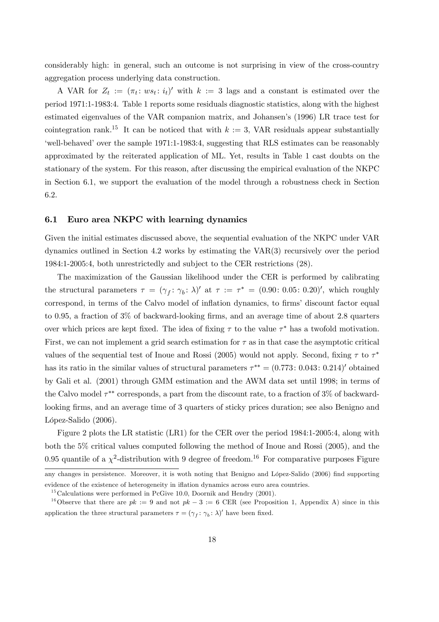considerably high: in general, such an outcome is not surprising in view of the cross-country aggregation process underlying data construction.

A VAR for  $Z_t := (\pi_t : ws_t : i_t)'$  with  $k := 3$  lags and a constant is estimated over the period 1971:1-1983:4. Table 1 reports some residuals diagnostic statistics, along with the highest estimated eigenvalues of the VAR companion matrix, and Johansen's (1996) LR trace test for cointegration rank.<sup>15</sup> It can be noticed that with  $k := 3$ , VAR residuals appear substantially 'well-behaved' over the sample 1971:1-1983:4, suggesting that RLS estimates can be reasonably approximated by the reiterated application of ML. Yet, results in Table 1 cast doubts on the stationary of the system. For this reason, after discussing the empirical evaluation of the NKPC in Section 6.1, we support the evaluation of the model through a robustness check in Section 6.2.

#### 6.1 Euro area NKPC with learning dynamics

Given the initial estimates discussed above, the sequential evaluation of the NKPC under VAR dynamics outlined in Section 4.2 works by estimating the VAR(3) recursively over the period 1984:1-2005:4, both unrestrictedly and subject to the CER restrictions (28).

The maximization of the Gaussian likelihood under the CER is performed by calibrating the structural parameters  $\tau = (\gamma_f : \gamma_b : \lambda)'$  at  $\tau := \tau^* = (0.90 : 0.05 : 0.20)'$ , which roughly correspond, in terms of the Calvo model of inflation dynamics, to firms' discount factor equal to 0.95, a fraction of 3% of backward-looking firms, and an average time of about 2.8 quarters over which prices are kept fixed. The idea of fixing  $\tau$  to the value  $\tau^*$  has a twofold motivation. First, we can not implement a grid search estimation for  $\tau$  as in that case the asymptotic critical values of the sequential test of Inoue and Rossi (2005) would not apply. Second, fixing  $\tau$  to  $\tau^*$ has its ratio in the similar values of structural parameters  $\tau^{**} = (0.773: 0.043: 0.214)'$  obtained by Gali et al. (2001) through GMM estimation and the AWM data set until 1998; in terms of the Calvo model  $\tau^{**}$  corresponds, a part from the discount rate, to a fraction of 3% of backwardlooking firms, and an average time of 3 quarters of sticky prices duration; see also Benigno and López-Salido (2006).

Figure 2 plots the LR statistic (LR1) for the CER over the period 1984:1-2005:4, along with both the 5% critical values computed following the method of Inoue and Rossi (2005), and the 0.95 quantile of a  $\chi^2$ -distribution with 9 degree of freedom.<sup>16</sup> For comparative purposes Figure

any changes in persistence. Moreover, it is woth noting that Benigno and López-Salido (2006) find supporting evidence of the existence of heterogeneity in iflation dynamics across euro area countries.

 $15$ Calculations were performed in PcGive 10.0, Doornik and Hendry (2001).

<sup>&</sup>lt;sup>16</sup>Observe that there are  $pk := 9$  and not  $pk - 3 := 6$  CER (see Proposition 1, Appendix A) since in this application the three structural parameters  $\tau = (\gamma_f : \gamma_b : \lambda)'$  have been fixed.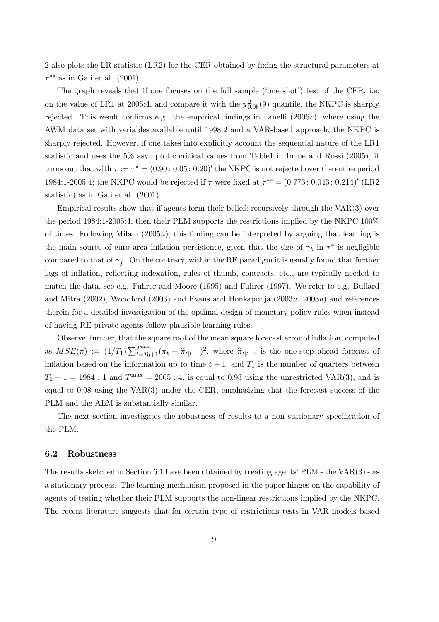2 also plots the LR statistic (LR2) for the CER obtained by fixing the structural parameters at  $\tau^{**}$  as in Gali et al. (2001).

The graph reveals that if one focuses on the full sample ('one shot') test of the CER, i.e. on the value of LR1 at 2005:4, and compare it with the  $\chi_{0.95}^2(9)$  quantile, the NKPC is sharply rejected. This result confirms e.g. the empirical findings in Fanelli  $(2006c)$ , where using the AWM data set with variables available until 1998:2 and a VAR-based approach, the NKPC is sharply rejected. However, if one takes into explicitly account the sequential nature of the LR1 statistic and uses the 5% asymptotic critical values from Table1 in Inoue and Rossi (2005), it turns out that with  $\tau := \tau^* = (0.90: 0.05: 0.20)'$  the NKPC is not rejected over the entire period 1984:1-2005:4; the NKPC would be rejected if  $\tau$  were fixed at  $\tau^{**} = (0.773: 0.043: 0.214)'$  (LR2 statistic) as in Gali et al. (2001).

Empirical results show that if agents form their beliefs recursively through the VAR(3) over the period 1984:1-2005:4, then their PLM supports the restrictions implied by the NKPC 100% of times. Following Milani  $(2005a)$ , this finding can be interpreted by arguing that learning is the main source of euro area inflation persistence, given that the size of  $\gamma_b$  in  $\tau^*$  is negligible compared to that of  $\gamma_f$ . On the contrary, within the RE paradigm it is usually found that further lags of inflation, reflecting indexation, rules of thumb, contracts, etc., are typically needed to match the data, see e.g. Fuhrer and Moore (1995) and Fuhrer (1997). We refer to e.g. Bullard and Mitra  $(2002)$ , Woodford  $(2003)$  and Evans and Honkapohja  $(2003a, 2003b)$  and references therein for a detailed investigation of the optimal design of monetary policy rules when instead of having RE private agents follow plausible learning rules.

Observe, further, that the square root of the mean square forecast error of inflation, computed as  $MSE(\pi) := (1/T_1) \sum_{t=T_0+1}^{T_{\text{max}}} (\pi_t - \hat{\pi}_{t|t-1})^2$ , where  $\hat{\pi}_{t|t-1}$  is the one-step ahead forecast of inflation based on the information up to time  $t - 1$ , and  $T_1$  is the number of quarters between  $T_0 + 1 = 1984 : 1$  and  $T<sup>max</sup> = 2005 : 4$ , is equal to 0.93 using the unrestricted VAR(3), and is equal to 0.98 using the VAR(3) under the CER, emphasizing that the forecast success of the PLM and the ALM is substantially similar.

The next section investigates the robustness of results to a non stationary specification of the PLM.

#### 6.2 Robustness

The results sketched in Section 6.1 have been obtained by treating agents' PLM - the VAR(3) - as a stationary process. The learning mechanism proposed in the paper hinges on the capability of agents of testing whether their PLM supports the non-linear restrictions implied by the NKPC. The recent literature suggests that for certain type of restrictions tests in VAR models based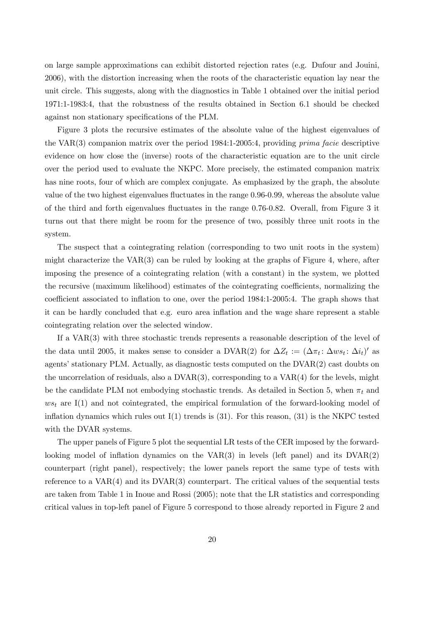on large sample approximations can exhibit distorted rejection rates (e.g. Dufour and Jouini, 2006), with the distortion increasing when the roots of the characteristic equation lay near the unit circle. This suggests, along with the diagnostics in Table 1 obtained over the initial period 1971:1-1983:4, that the robustness of the results obtained in Section 6.1 should be checked against non stationary specifications of the PLM.

Figure 3 plots the recursive estimates of the absolute value of the highest eigenvalues of the VAR(3) companion matrix over the period 1984:1-2005:4, providing prima facie descriptive evidence on how close the (inverse) roots of the characteristic equation are to the unit circle over the period used to evaluate the NKPC. More precisely, the estimated companion matrix has nine roots, four of which are complex conjugate. As emphasized by the graph, the absolute value of the two highest eigenvalues fluctuates in the range 0.96-0.99, whereas the absolute value of the third and forth eigenvalues fluctuates in the range 0.76-0.82. Overall, from Figure 3 it turns out that there might be room for the presence of two, possibly three unit roots in the system.

The suspect that a cointegrating relation (corresponding to two unit roots in the system) might characterize the  $VAR(3)$  can be ruled by looking at the graphs of Figure 4, where, after imposing the presence of a cointegrating relation (with a constant) in the system, we plotted the recursive (maximum likelihood) estimates of the cointegrating coefficients, normalizing the coefficient associated to inflation to one, over the period 1984:1-2005:4. The graph shows that it can be hardly concluded that e.g. euro area inflation and the wage share represent a stable cointegrating relation over the selected window.

If a VAR(3) with three stochastic trends represents a reasonable description of the level of the data until 2005, it makes sense to consider a DVAR(2) for  $\Delta Z_t := (\Delta \pi_t : \Delta w s_t : \Delta i_t)'$  as agents' stationary PLM. Actually, as diagnostic tests computed on the DVAR(2) cast doubts on the uncorrelation of residuals, also a  $DVAR(3)$ , corresponding to a  $VAR(4)$  for the levels, might be the candidate PLM not embodying stochastic trends. As detailed in Section 5, when  $\pi_t$  and  $ws_t$  are I(1) and not cointegrated, the empirical formulation of the forward-looking model of inflation dynamics which rules out  $I(1)$  trends is  $(31)$ . For this reason,  $(31)$  is the NKPC tested with the DVAR systems.

The upper panels of Figure 5 plot the sequential LR tests of the CER imposed by the forwardlooking model of inflation dynamics on the  $VAR(3)$  in levels (left panel) and its  $DVAR(2)$ counterpart (right panel), respectively; the lower panels report the same type of tests with reference to a VAR(4) and its DVAR(3) counterpart. The critical values of the sequential tests are taken from Table 1 in Inoue and Rossi (2005); note that the LR statistics and corresponding critical values in top-left panel of Figure 5 correspond to those already reported in Figure 2 and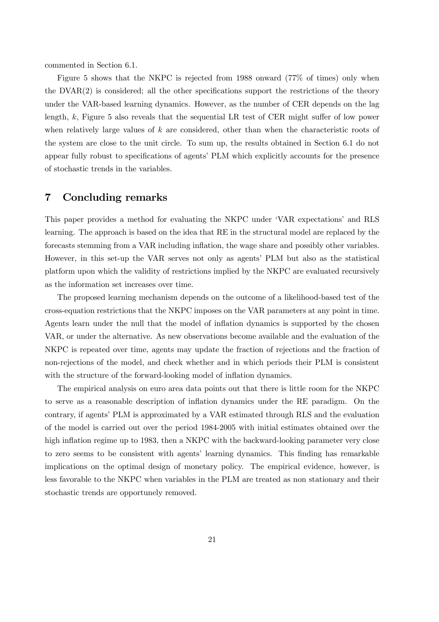commented in Section 6.1.

Figure 5 shows that the NKPC is rejected from 1988 onward (77% of times) only when the DVAR(2) is considered; all the other specifications support the restrictions of the theory under the VAR-based learning dynamics. However, as the number of CER depends on the lag length, k, Figure 5 also reveals that the sequential LR test of CER might suffer of low power when relatively large values of  $k$  are considered, other than when the characteristic roots of the system are close to the unit circle. To sum up, the results obtained in Section 6.1 do not appear fully robust to specifications of agents' PLM which explicitly accounts for the presence of stochastic trends in the variables.

### 7 Concluding remarks

This paper provides a method for evaluating the NKPC under 'VAR expectations' and RLS learning. The approach is based on the idea that RE in the structural model are replaced by the forecasts stemming from a VAR including inflation, the wage share and possibly other variables. However, in this set-up the VAR serves not only as agents' PLM but also as the statistical platform upon which the validity of restrictions implied by the NKPC are evaluated recursively as the information set increases over time.

The proposed learning mechanism depends on the outcome of a likelihood-based test of the cross-equation restrictions that the NKPC imposes on the VAR parameters at any point in time. Agents learn under the null that the model of inflation dynamics is supported by the chosen VAR, or under the alternative. As new observations become available and the evaluation of the NKPC is repeated over time, agents may update the fraction of rejections and the fraction of non-rejections of the model, and check whether and in which periods their PLM is consistent with the structure of the forward-looking model of inflation dynamics.

The empirical analysis on euro area data points out that there is little room for the NKPC to serve as a reasonable description of inflation dynamics under the RE paradigm. On the contrary, if agents' PLM is approximated by a VAR estimated through RLS and the evaluation of the model is carried out over the period 1984-2005 with initial estimates obtained over the high inflation regime up to 1983, then a NKPC with the backward-looking parameter very close to zero seems to be consistent with agents' learning dynamics. This finding has remarkable implications on the optimal design of monetary policy. The empirical evidence, however, is less favorable to the NKPC when variables in the PLM are treated as non stationary and their stochastic trends are opportunely removed.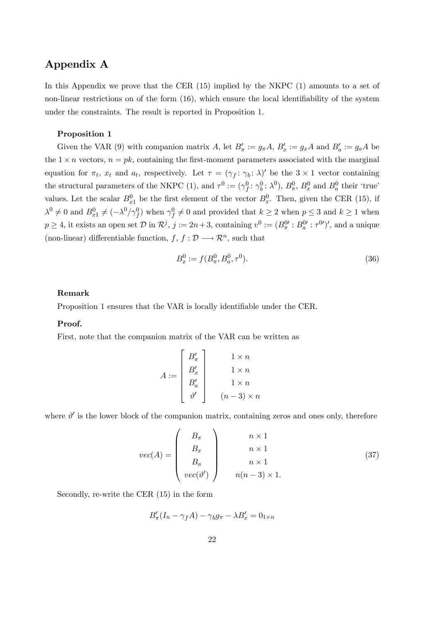## Appendix A

In this Appendix we prove that the CER (15) implied by the NKPC (1) amounts to a set of non-linear restrictions on of the form (16), which ensure the local identifiability of the system under the constraints. The result is reported in Proposition 1.

#### Proposition 1

Given the VAR (9) with companion matrix A, let  $B'_\pi := g_\pi A$ ,  $B'_x := g_x A$  and  $B'_a := g_a A$  be the  $1 \times n$  vectors,  $n = pk$ , containing the first-moment parameters associated with the marginal equation for  $\pi_t$ ,  $x_t$  and  $a_t$ , respectively. Let  $\tau = (\gamma_f : \gamma_b : \lambda)'$  be the  $3 \times 1$  vector containing the structural parameters of the NKPC (1), and  $\tau^0 := (\gamma_f^0 : \gamma_b^0 : \lambda^0)$ ,  $B_{\pi}^0$ ,  $B_x^0$  and  $B_a^0$  their 'true' values. Let the scalar  $B_{x_1}^0$  be the first element of the vector  $B_x^0$ . Then, given the CER (15), if  $\lambda^0 \neq 0$  and  $B_{x_1}^0 \neq (-\lambda^0/\gamma_f^0)$  when  $\gamma_f^0 \neq 0$  and provided that  $k \geq 2$  when  $p \leq 3$  and  $k \geq 1$  when  $p \ge 4$ , it exists an open set  $\mathcal{D}$  in  $\mathcal{R}^j$ ,  $j := 2n+3$ , containing  $v^0 := (B^0_\pi : B^0_a : \tau^{0j})'$ , and a unique (non-linear) differentiable function,  $f, f : \mathcal{D} \longrightarrow \mathcal{R}^n$ , such that

$$
B_x^0 := f(B_\pi^0, B_a^0, \tau^0). \tag{36}
$$

#### Remark

Proposition 1 ensures that the VAR is locally identifiable under the CER.

#### Proof.

First, note that the companion matrix of the VAR can be written as

$$
A := \begin{bmatrix} B'_{\pi} \\ B'_{x} \\ B'_{a} \\ \vartheta' \end{bmatrix} \begin{array}{c} 1 \times n \\ 1 \times n \\ 1 \times n \\ 1 \times n \\ (n-3) \times n \end{array}
$$

where  $\vartheta'$  is the lower block of the companion matrix, containing zeros and ones only, therefore

$$
vec(A) = \begin{pmatrix} B_{\pi} \\ B_{x} \\ B_{a} \\ vec(\vartheta') \end{pmatrix} \begin{pmatrix} n \times 1 \\ n \times 1 \\ n \times 1 \\ n(n-3) \times 1. \end{pmatrix}
$$
 (37)

Secondly, re-write the CER (15) in the form

$$
B'_{\pi}(I_n - \gamma_f A) - \gamma_b g_{\pi} - \lambda B'_{x} = 0_{1 \times n}
$$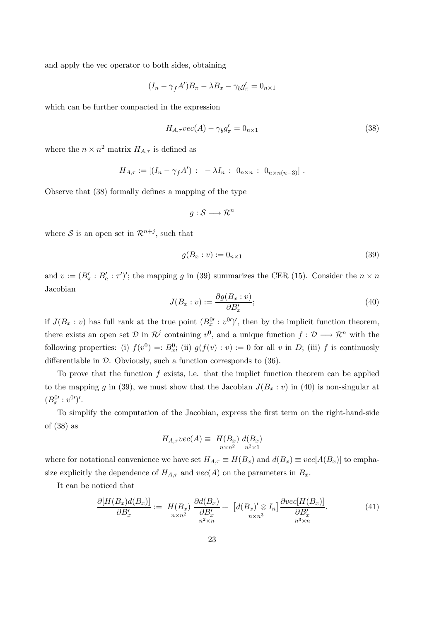and apply the vec operator to both sides, obtaining

$$
(I_n - \gamma_f A')B_{\pi} - \lambda B_x - \gamma_b g'_{\pi} = 0_{n \times 1}
$$

which can be further compacted in the expression

$$
H_{A,\tau}vec(A) - \gamma_b g'_{\pi} = 0_{n \times 1}
$$
\n(38)

where the  $n \times n^2$  matrix  $H_{A,\tau}$  is defined as

$$
H_{A,\tau} := [(I_n - \gamma_f A') : -\lambda I_n : 0_{n \times n} : 0_{n \times n(n-3)}].
$$

Observe that (38) formally defines a mapping of the type

$$
g:\mathcal{S}\longrightarrow\mathcal{R}^n
$$

where S is an open set in  $\mathcal{R}^{n+j}$ , such that

$$
g(B_x : v) := 0_{n \times 1} \tag{39}
$$

and  $v := (B'_\pi : B'_a : \tau')'$ ; the mapping g in (39) summarizes the CER (15). Consider the  $n \times n$ Jacobian

$$
J(B_x : v) := \frac{\partial g(B_x : v)}{\partial B'_x};\tag{40}
$$

if  $J(B_x : v)$  has full rank at the true point  $(B_x^0 : v^{0\prime})'$ , then by the implicit function theorem, there exists an open set  $\mathcal{D}$  in  $\mathcal{R}^j$  containing  $v^0$ , and a unique function  $f: \mathcal{D} \longrightarrow \mathcal{R}^n$  with the following properties: (i)  $f(v^0) =: B_x^0$ ; (ii)  $g(f(v): v) := 0$  for all v in D; (iii) f is continuosly differentiable in  $\mathcal{D}$ . Obviously, such a function corresponds to (36).

To prove that the function  $f$  exists, i.e. that the implict function theorem can be applied to the mapping g in (39), we must show that the Jacobian  $J(B_x : v)$  in (40) is non-singular at  $(B_x^{0\prime}: v^{0\prime})^{\prime}.$ 

To simplify the computation of the Jacobian, express the first term on the right-hand-side of (38) as

$$
H_{A,\tau}vec(A) \equiv H(B_x) d(B_x)
$$
  

$$
{}_{n \times n^2} d^2
$$
  

$$
{}_{n^2 \times 1} d^2
$$

where for notational convenience we have set  $H_{A,\tau} \equiv H(B_x)$  and  $d(B_x) \equiv vec[A(B_x)]$  to emphasize explicitly the dependence of  $H_{A,\tau}$  and  $vec(A)$  on the parameters in  $B_x$ .

It can be noticed that

$$
\frac{\partial [H(B_x)d(B_x)]}{\partial B'_x} := H(B_x) \frac{\partial d(B_x)}{\partial B'_x} + \left[ d(B_x)' \otimes I_n \right] \frac{\partial vec[H(B_x)]}{\partial B'_x}.
$$
\n(41)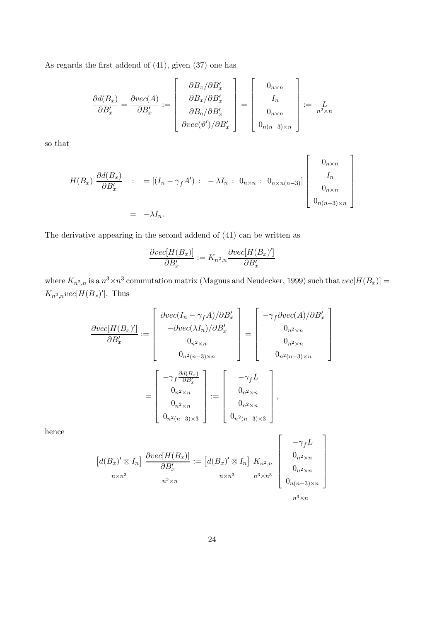As regards the first addend of (41), given (37) one has

$$
\frac{\partial d(B_x)}{\partial B'_x} = \frac{\partial vec(A)}{\partial B'_x} := \begin{bmatrix} \frac{\partial B_{\pi}}{\partial B'_x} \\ \frac{\partial B_x}{\partial B'_x} \\ \frac{\partial B_a}{\partial B'_x} \end{bmatrix} = \begin{bmatrix} 0_{n \times n} \\ I_n \\ 0_{n \times n} \\ 0_{n \times n} \\ 0_{n(n-3) \times n} \end{bmatrix} := \sum_{n^2 \times n} I_n
$$

so that

$$
H(B_x) \frac{\partial d(B_x)}{\partial B'_x} : = [(I_n - \gamma_f A') : -\lambda I_n : 0_{n \times n} : 0_{n \times n(n-3)}] \begin{bmatrix} 0_{n \times n} \\ I_n \\ 0_{n \times n} \\ 0_{n(n-3) \times n} \end{bmatrix}
$$
  
= -\lambda I\_n.

The derivative appearing in the second addend of (41) can be written as

$$
\frac{\partial vec[H(B_x)]}{\partial B_x'} := K_{n^2,n} \frac{\partial vec[H(B_x)']}{\partial B_x'}
$$

where  $K_{n^2,n}$  is a  $n^3 \times n^3$  commutation matrix (Magnus and Neudecker, 1999) such that  $vec[H(B_x)] =$  $K_{n^2,n}$ vec[ $H(B_x)$ ']. Thus

$$
\frac{\partial vec[H(B_x)']}{\partial B_x'} := \begin{bmatrix} \frac{\partial vec(I_n - \gamma_f A)/\partial B_x'}{-\partial vec(\lambda I_n)/\partial B_x'} \\ -\frac{\partial vec(\lambda I_n)/\partial B_x'}{0_{n^2 \times n}} \\ 0_{n^2 \times n} \end{bmatrix} = \begin{bmatrix} -\gamma_f \frac{\partial vec(A)}{\partial B_x'} \\ 0_{n^2 \times n} \\ 0_{n^2(n-3)\times n} \end{bmatrix}
$$

$$
= \begin{bmatrix} -\gamma_f \frac{\partial d(B_x)}{\partial B_x'} \\ 0_{n^2 \times n} \\ 0_{n^2 \times n} \\ 0_{n^2 \times n} \\ 0_{n^2(n-3)\times 3} \end{bmatrix} := \begin{bmatrix} -\gamma_f L \\ 0_{n^2 \times n} \\ 0_{n^2 \times n} \\ 0_{n^2(n-3)\times 3} \end{bmatrix},
$$

hence

$$
\begin{bmatrix} d(B_x)' \otimes I_n \end{bmatrix} \xrightarrow{\partial vec[H(B_x)]} := \begin{bmatrix} d(B_x)' \otimes I_n \end{bmatrix} K_{n^2,n} \begin{bmatrix} -\gamma_f L \\ 0_{n^2 \times n} \\ 0_{n^2 \times n} \\ 0_{n^2 \times n} \\ 0_{n(n-3)\times n} \end{bmatrix}
$$
  
 $n^3 \times n$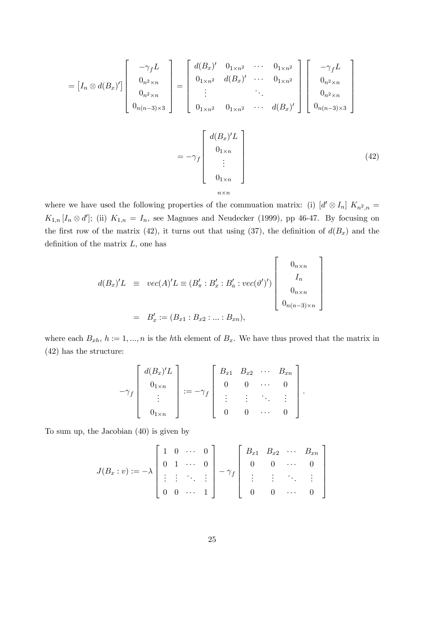$$
= [I_n \otimes d(B_x)'] \begin{bmatrix} -\gamma_f L \\ 0_{n^2 \times n} \\ 0_{n^2 \times n} \\ 0_{n(n-3) \times 3} \end{bmatrix} = \begin{bmatrix} d(B_x)' & 0_{1 \times n^2} & \cdots & 0_{1 \times n^2} \\ 0_{1 \times n^2} & d(B_x)' & \cdots & 0_{1 \times n^2} \\ \vdots & & \ddots & \vdots \\ 0_{1 \times n^2} & 0_{1 \times n^2} & \cdots & d(B_x)' \end{bmatrix} \begin{bmatrix} -\gamma_f L \\ 0_{n^2 \times n} \\ 0_{n^2 \times n} \\ 0_{n(n-3) \times 3} \end{bmatrix}
$$

$$
= -\gamma_f \begin{bmatrix} d(B_x)' L \\ 0_{1 \times n} \\ \vdots \\ 0_{1 \times n} \\ 0_{1 \times n} \end{bmatrix}
$$
(42)

where we have used the following properties of the commuation matrix: (i)  $[d' \otimes I_n] K_{n^2,n} =$  $K_{1,n}$  [ $I_n \otimes d'$ ]; (ii)  $K_{1,n} = I_n$ , see Magnues and Neudecker (1999), pp 46-47. By focusing on the first row of the matrix (42), it turns out that using (37), the definition of  $d(B_x)$  and the definition of the matrix  $L$ , one has

> 1  $\mathbf{I}$  $\mathbf{I}$  $\mathbf{I}$  $\mathbf{I}$  $\mathbf{I}$  $\mathbf{I}$

$$
d(B_x)'L \equiv vec(A)'L \equiv (B'_\pi : B'_x : B'_a : vec(\vartheta')') \begin{bmatrix} 0_{n \times n} \\ I_n \\ 0_{n \times n} \\ 0_{n \times n} \end{bmatrix}
$$
  
=  $B'_x := (B_{x1} : B_{x2} : ... : B_{xn}),$ 

where each  $B_{xh}$ ,  $h := 1, ..., n$  is the hth element of  $B_x$ . We have thus proved that the matrix in (42) has the structure:

$$
-\gamma_f \left[ \begin{array}{c} d(B_x)'L \\ 0_{1\times n} \\ \vdots \\ 0_{1\times n} \end{array} \right] := -\gamma_f \left[ \begin{array}{cccc} B_{x1} & B_{x2} & \cdots & B_{xn} \\ 0 & 0 & \cdots & 0 \\ \vdots & \vdots & \ddots & \vdots \\ 0 & 0 & \cdots & 0 \end{array} \right].
$$

To sum up, the Jacobian (40) is given by

$$
J(B_x : v) := -\lambda \begin{bmatrix} 1 & 0 & \cdots & 0 \\ 0 & 1 & \cdots & 0 \\ \vdots & \vdots & \ddots & \vdots \\ 0 & 0 & \cdots & 1 \end{bmatrix} - \gamma_f \begin{bmatrix} B_{x1} & B_{x2} & \cdots & B_{xn} \\ 0 & 0 & \cdots & 0 \\ \vdots & \vdots & \ddots & \vdots \\ 0 & 0 & \cdots & 0 \end{bmatrix}
$$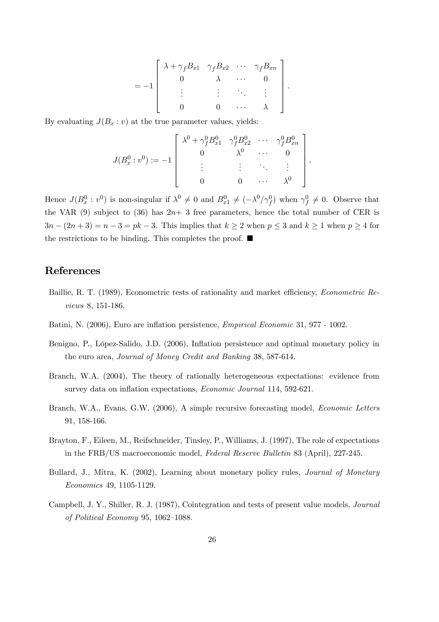$$
= -1 \left[\begin{array}{cccccc} \lambda + \gamma_f B_{x1} & \gamma_f B_{x2} & \cdots & \gamma_f B_{xn} \\ 0 & \lambda & \cdots & 0 \\ \vdots & \vdots & \ddots & \vdots \\ 0 & 0 & \cdots & \lambda \end{array}\right].
$$

By evaluating  $J(B_x : v)$  at the true parameter values, yields:

$$
J(B_x^0: v^0) := -1 \begin{bmatrix} \lambda^0 + \gamma_f^0 B_{x1}^0 & \gamma_f^0 B_{x2}^0 & \cdots & \gamma_f^0 B_{xn}^0 \\ 0 & \lambda^0 & \cdots & 0 \\ \vdots & \vdots & \ddots & \vdots \\ 0 & 0 & \cdots & \lambda^0 \end{bmatrix}.
$$

Hence  $J(B_x^0 : v^0)$  is non-singular if  $\lambda^0 \neq 0$  and  $B_{x_1}^0 \neq (-\lambda^0/\gamma_f^0)$  when  $\gamma_f^0 \neq 0$ . Observe that the VAR  $(9)$  subject to  $(36)$  has  $2n+3$  free parameters, hence the total number of CER is  $3n - (2n + 3) = n - 3 = pk - 3$ . This implies that  $k \ge 2$  when  $p \le 3$  and  $k \ge 1$  when  $p \ge 4$  for the restrictions to be binding. This completes the proof.  $\blacksquare$ 

## References

- Baillie, R. T. (1989), Econometric tests of rationality and market efficiency, *Econometric Re*views 8, 151-186.
- Batini, N. (2006), Euro are inflation persistence, Empirical Economic 31, 977 1002.
- Benigno, P., López-Salido, J.D. (2006), Inflation persistence and optimal monetary policy in the euro area, Journal of Money Credit and Banking 38, 587-614.
- Branch, W.A. (2004), The theory of rationally heterogeneous expectations: evidence from survey data on inflation expectations, Economic Journal 114, 592-621.
- Branch, W.A., Evans, G.W. (2006), A simple recursive forecasting model, Economic Letters 91, 158-166.
- Brayton, F., Eileen, M., Reifschneider, Tinsley, P., Williams, J. (1997), The role of expectations in the FRB/US macroeconomic model, Federal Reserve Bulletin 83 (April), 227-245.
- Bullard, J., Mitra, K. (2002), Learning about monetary policy rules, Journal of Monetary Economics 49, 1105-1129.
- Campbell, J. Y., Shiller, R. J. (1987), Cointegration and tests of present value models, Journal of Political Economy 95, 1062—1088.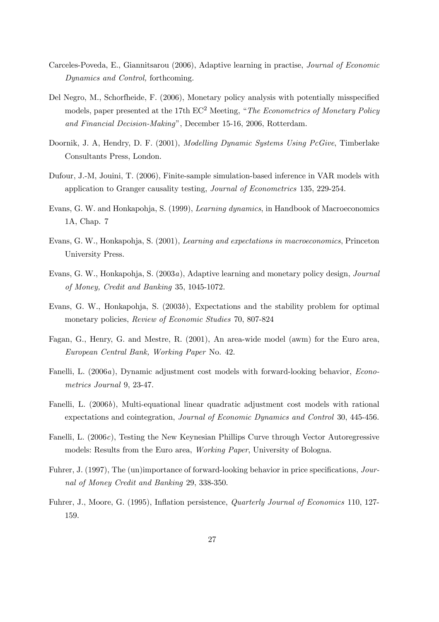- Carceles-Poveda, E., Giannitsarou (2006), Adaptive learning in practise, Journal of Economic Dynamics and Control, forthcoming.
- Del Negro, M., Schorfheide, F. (2006), Monetary policy analysis with potentially misspecified models, paper presented at the 17th  $EC^2$  Meeting, "*The Econometrics of Monetary Policy* and Financial Decision-Making", December 15-16, 2006, Rotterdam.
- Doornik, J. A, Hendry, D. F. (2001), Modelling Dynamic Systems Using PcGive, Timberlake Consultants Press, London.
- Dufour, J.-M, Jouini, T. (2006), Finite-sample simulation-based inference in VAR models with application to Granger causality testing, Journal of Econometrics 135, 229-254.
- Evans, G. W. and Honkapohja, S. (1999), Learning dynamics, in Handbook of Macroeconomics 1A, Chap. 7
- Evans, G. W., Honkapohja, S. (2001), Learning and expectations in macroeconomics, Princeton University Press.
- Evans, G. W., Honkapohja, S. (2003a), Adaptive learning and monetary policy design, Journal of Money, Credit and Banking 35, 1045-1072.
- Evans, G. W., Honkapohja, S. (2003b), Expectations and the stability problem for optimal monetary policies, Review of Economic Studies 70, 807-824
- Fagan, G., Henry, G. and Mestre, R. (2001), An area-wide model (awm) for the Euro area, European Central Bank, Working Paper No. 42.
- Fanelli, L. (2006a), Dynamic adjustment cost models with forward-looking behavior, Econometrics Journal 9, 23-47.
- Fanelli, L. (2006b), Multi-equational linear quadratic adjustment cost models with rational expectations and cointegration, Journal of Economic Dynamics and Control 30, 445-456.
- Fanelli, L. (2006c), Testing the New Keynesian Phillips Curve through Vector Autoregressive models: Results from the Euro area, Working Paper, University of Bologna.
- Fuhrer, J. (1997), The (un)importance of forward-looking behavior in price specifications, Journal of Money Credit and Banking 29, 338-350.
- Fuhrer, J., Moore, G. (1995), Inflation persistence, Quarterly Journal of Economics 110, 127- 159.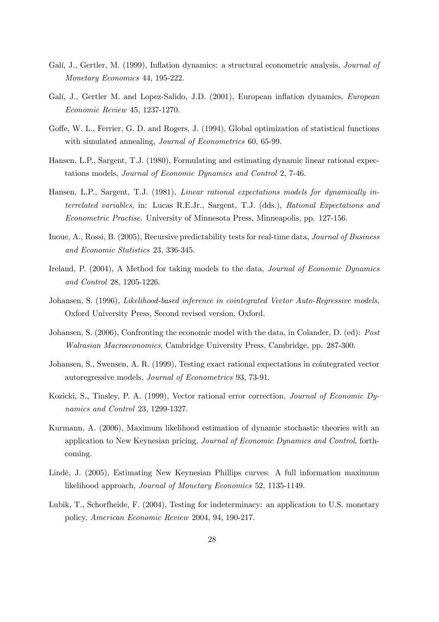- Galí, J., Gertler, M. (1999), Inflation dynamics: a structural econometric analysis, *Journal of* Monetary Economics 44, 195-222.
- Galí, J., Gertler M. and Lopez-Salido, J.D. (2001), European inflation dynamics, European Economic Review 45, 1237-1270.
- Goffe, W. L., Ferrier, G. D. and Rogers, J. (1994), Global optimization of statistical functions with simulated annealing, *Journal of Econometrics* 60, 65-99.
- Hansen, L.P., Sargent, T.J. (1980), Formulating and estimating dynamic linear rational expectations models, Journal of Economic Dynamics and Control 2, 7-46.
- Hansen, L.P., Sargent, T.J. (1981), Linear rational expectations models for dynamically interrelated variables, in: Lucas R.E.Jr., Sargent, T.J. (dds.), Rational Expectations and Econometric Practise. University of Minnesota Press, Minneapolis, pp. 127-156.
- Inoue, A., Rossi, B. (2005), Recursive predictability tests for real-time data, Journal of Business and Economic Statistics 23, 336-345.
- Ireland, P. (2004), A Method for taking models to the data, *Journal of Economic Dynamics* and Control 28, 1205-1226.
- Johansen, S. (1996), Likelihood-based inference in cointegrated Vector Auto-Regressive models, Oxford University Press, Second revised version, Oxford.
- Johansen, S. (2006), Confronting the economic model with the data, in Colander, D. (ed): Post Walrasian Macroeconomics, Cambridge University Press, Cambridge, pp. 287-300.
- Johansen, S., Swensen, A. R. (1999), Testing exact rational expectations in cointegrated vector autoregressive models, Journal of Econometrics 93, 73-91.
- Kozicki, S., Tinsley, P. A. (1999), Vector rational error correction, Journal of Economic Dynamics and Control 23, 1299-1327.
- Kurmann, A. (2006), Maximum likelihood estimation of dynamic stochastic theories with an application to New Keynesian pricing, Journal of Economic Dynamics and Control, forthcoming.
- Lindé, J. (2005), Estimating New Keynesian Phillips curves: A full information maximum likelihood approach, Journal of Monetary Economics 52, 1135-1149.
- Lubik, T., Schorfheide, F. (2004), Testing for indeterminacy: an application to U.S. monetary policy, American Economic Review 2004, 94, 190-217.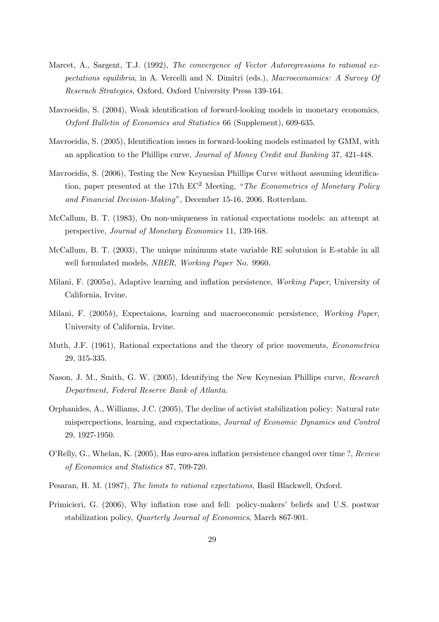- Marcet, A., Sargent, T.J. (1992), The convergence of Vector Autoregressions to rational expectations equilibria, in A. Vercelli and N. Dimitri (eds.), Macroeconomics: A Survey Of Reserach Strategies, Oxford, Oxford University Press 139-164.
- Mavroeidis, S. (2004), Weak identification of forward-looking models in monetary economics, Oxford Bulletin of Economics and Statistics 66 (Supplement), 609-635.
- Mavroeidis, S. (2005), Identification issues in forward-looking models estimated by GMM, with an application to the Phillips curve, Journal of Money Credit and Banking 37, 421-448.
- Mavroeidis, S. (2006), Testing the New Keynesian Phillips Curve without assuming identification, paper presented at the 17th  $EC^2$  Meeting, "The Econometrics of Monetary Policy and Financial Decision-Making", December 15-16, 2006, Rotterdam.
- McCallum, B. T. (1983), On non-uniqueness in rational expectations models: an attempt at perspective, Journal of Monetary Economics 11, 139-168.
- McCallum, B. T. (2003), The unique minimum state variable RE solutuion is E-stable in all well formulated models, NBER, Working Paper No. 9960.
- Milani, F. (2005a), Adaptive learning and inflation persistence, Working Paper, University of California, Irvine.
- Milani, F. (2005b), Expectaions, learning and macroeconomic persistence, Working Paper, University of California, Irvine.
- Muth, J.F. (1961), Rational expectations and the theory of price movements, Econometrica 29, 315-335.
- Nason, J. M., Smith, G. W. (2005), Identifying the New Keynesian Phillips curve, Research Department, Federal Reserve Bank of Atlanta.
- Orphanides, A., Williams, J.C. (2005), The decline of activist stabilization policy: Natural rate mispercpections, learning, and expectations, Journal of Economic Dynamics and Control 29, 1927-1950.
- O'Relly, G., Whelan, K. (2005), Has euro-area inflation persistence changed over time ?, Review of Economics and Statistics 87, 709-720.
- Pesaran, H. M. (1987), The limits to rational expectations, Basil Blackwell, Oxford.
- Primicieri, G. (2006), Why inflation rose and fell: policy-makers' beliefs and U.S. postwar stabilization policy, Quarterly Journal of Economics, March 867-901.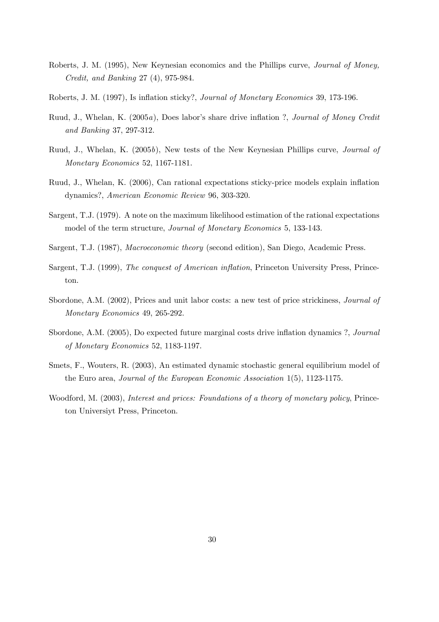- Roberts, J. M. (1995), New Keynesian economics and the Phillips curve, Journal of Money, Credit, and Banking 27 (4), 975-984.
- Roberts, J. M. (1997), Is inflation sticky?, Journal of Monetary Economics 39, 173-196.
- Ruud, J., Whelan, K. (2005a), Does labor's share drive inflation ?, Journal of Money Credit and Banking 37, 297-312.
- Ruud, J., Whelan, K. (2005b), New tests of the New Keynesian Phillips curve, Journal of Monetary Economics 52, 1167-1181.
- Ruud, J., Whelan, K. (2006), Can rational expectations sticky-price models explain inflation dynamics?, American Economic Review 96, 303-320.
- Sargent, T.J. (1979). A note on the maximum likelihood estimation of the rational expectations model of the term structure, Journal of Monetary Economics 5, 133-143.
- Sargent, T.J. (1987), Macroeconomic theory (second edition), San Diego, Academic Press.
- Sargent, T.J. (1999), The conquest of American inflation, Princeton University Press, Princeton.
- Sbordone, A.M. (2002), Prices and unit labor costs: a new test of price strickiness, Journal of Monetary Economics 49, 265-292.
- Sbordone, A.M. (2005), Do expected future marginal costs drive inflation dynamics ?, Journal of Monetary Economics 52, 1183-1197.
- Smets, F., Wouters, R. (2003), An estimated dynamic stochastic general equilibrium model of the Euro area, Journal of the European Economic Association 1(5), 1123-1175.
- Woodford, M. (2003), Interest and prices: Foundations of a theory of monetary policy, Princeton Universiyt Press, Princeton.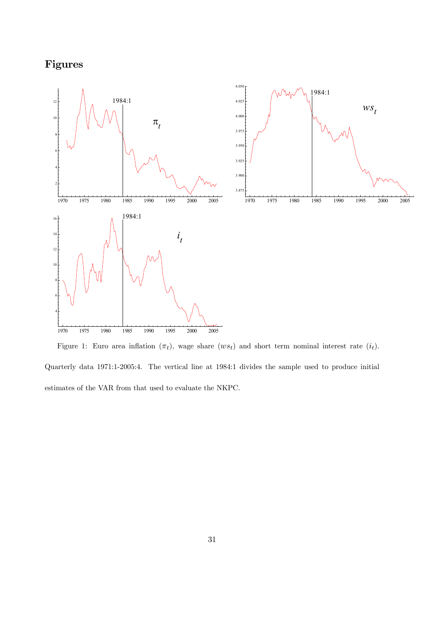## Figures



Figure 1: Euro area inflation  $(\pi_t)$ , wage share  $(ws_t)$  and short term nominal interest rate  $(i_t)$ . Quarterly data 1971:1-2005:4. The vertical line at 1984:1 divides the sample used to produce initial estimates of the VAR from that used to evaluate the NKPC.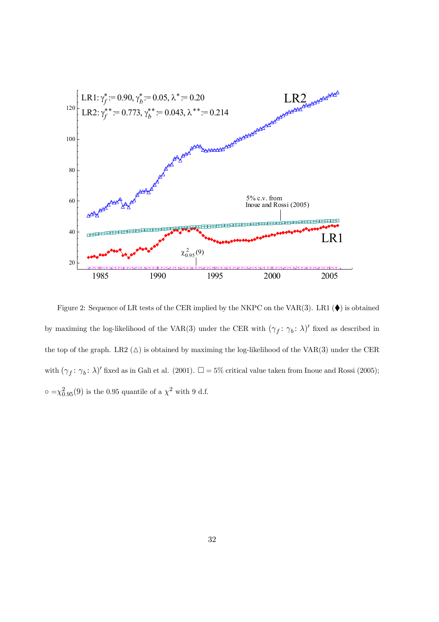

Figure 2: Sequence of LR tests of the CER implied by the NKPC on the VAR(3). LR1 ( $\blacklozenge$ ) is obtained by maximing the log-likelihood of the VAR(3) under the CER with  $(\gamma_f : \gamma_b : \lambda)'$  fixed as described in the top of the graph. LR2  $(\triangle)$  is obtained by maximing the log-likelihood of the VAR(3) under the CER with  $(\gamma_f: \gamma_b: \lambda)'$  fixed as in Galì et al. (2001).  $\square = 5\%$  critical value taken from Inoue and Rossi (2005);  $\circ = \chi_{0.95}^2(9)$  is the 0.95 quantile of a  $\chi^2$  with 9 d.f.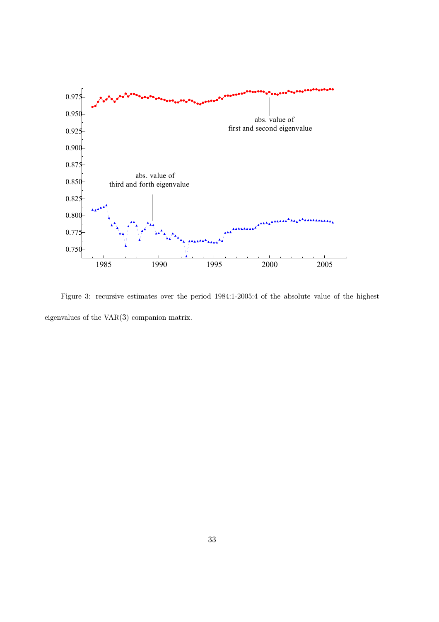

Figure 3: recursive estimates over the period 1984:1-2005:4 of the absolute value of the highest eigenvalues of the VAR(3) companion matrix.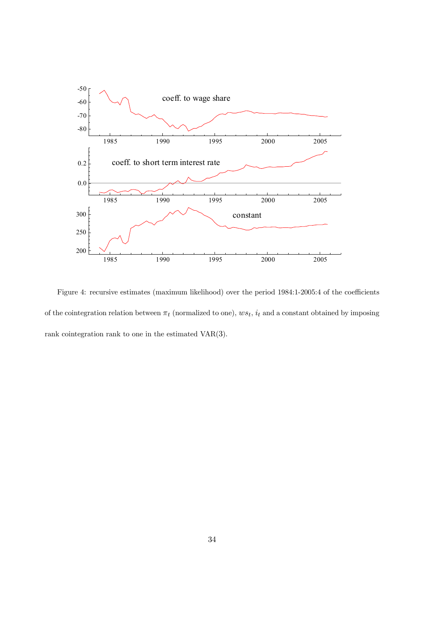

Figure 4: recursive estimates (maximum likelihood) over the period 1984:1-2005:4 of the coefficients of the cointegration relation between  $\pi_t$  (normalized to one),  $ws_t$ ,  $i_t$  and a constant obtained by imposing rank cointegration rank to one in the estimated VAR(3).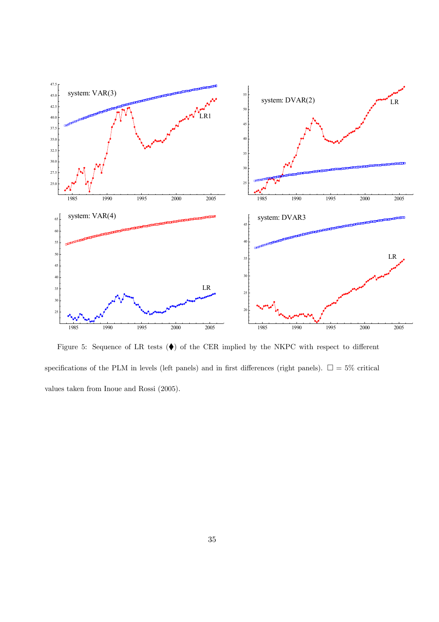

Figure 5: Sequence of LR tests  $(\blacklozenge)$  of the CER implied by the NKPC with respect to different specifications of the PLM in levels (left panels) and in first differences (right panels).  $\square = 5\%$  critical values taken from Inoue and Rossi (2005).